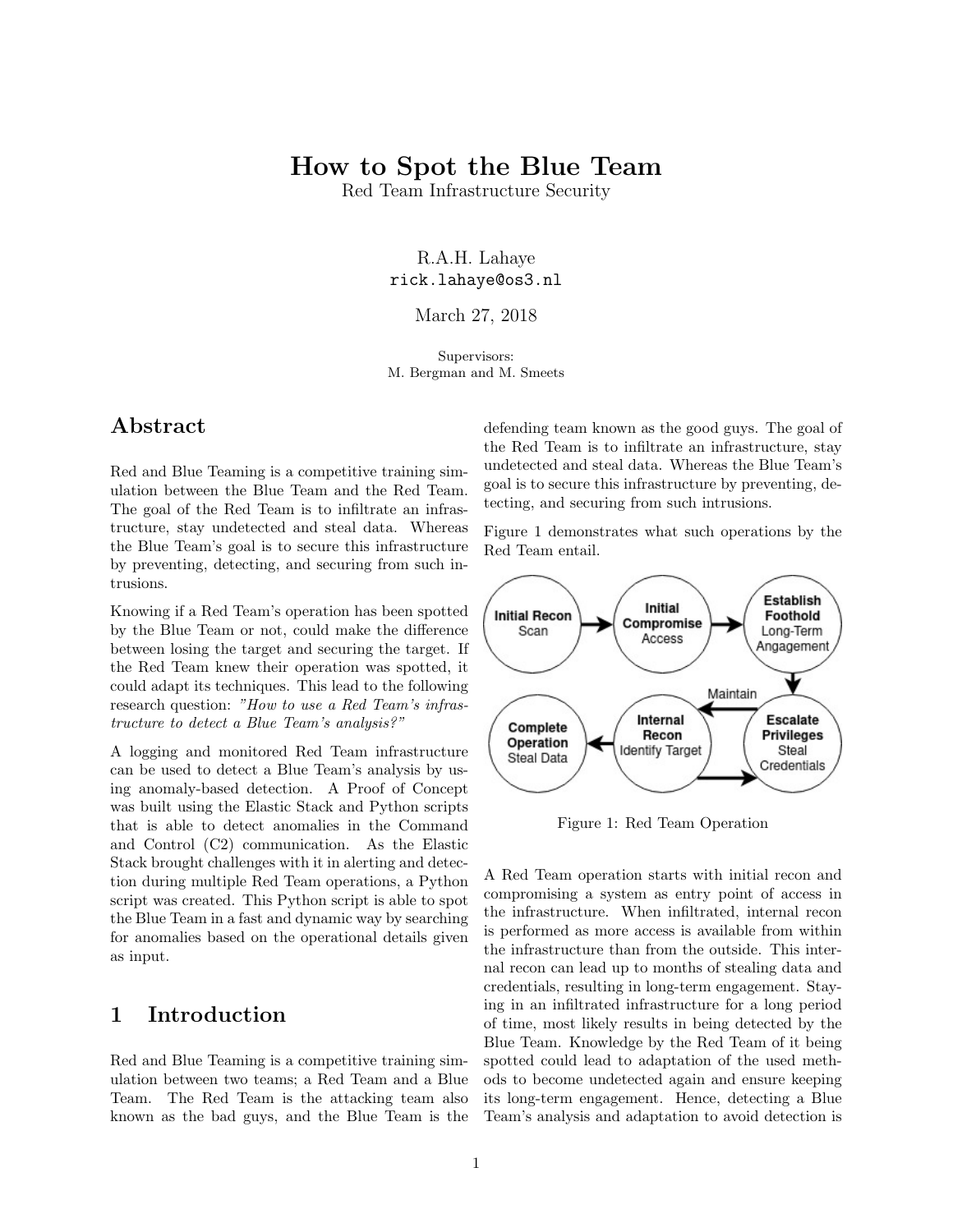# How to Spot the Blue Team

Red Team Infrastructure Security

R.A.H. Lahaye rick.lahaye@os3.nl

March 27, 2018

Supervisors: M. Bergman and M. Smeets

## Abstract

Red and Blue Teaming is a competitive training simulation between the Blue Team and the Red Team. The goal of the Red Team is to infiltrate an infrastructure, stay undetected and steal data. Whereas the Blue Team's goal is to secure this infrastructure by preventing, detecting, and securing from such intrusions.

Knowing if a Red Team's operation has been spotted by the Blue Team or not, could make the difference between losing the target and securing the target. If the Red Team knew their operation was spotted, it could adapt its techniques. This lead to the following research question: "How to use a Red Team's infrastructure to detect a Blue Team's analysis?"

A logging and monitored Red Team infrastructure can be used to detect a Blue Team's analysis by using anomaly-based detection. A Proof of Concept was built using the Elastic Stack and Python scripts that is able to detect anomalies in the Command and Control (C2) communication. As the Elastic Stack brought challenges with it in alerting and detection during multiple Red Team operations, a Python script was created. This Python script is able to spot the Blue Team in a fast and dynamic way by searching for anomalies based on the operational details given as input.

## 1 Introduction

Red and Blue Teaming is a competitive training simulation between two teams; a Red Team and a Blue Team. The Red Team is the attacking team also known as the bad guys, and the Blue Team is the defending team known as the good guys. The goal of the Red Team is to infiltrate an infrastructure, stay undetected and steal data. Whereas the Blue Team's goal is to secure this infrastructure by preventing, detecting, and securing from such intrusions.

Figure [1](#page-0-0) demonstrates what such operations by the Red Team entail.



<span id="page-0-0"></span>Figure 1: Red Team Operation

A Red Team operation starts with initial recon and compromising a system as entry point of access in the infrastructure. When infiltrated, internal recon is performed as more access is available from within the infrastructure than from the outside. This internal recon can lead up to months of stealing data and credentials, resulting in long-term engagement. Staying in an infiltrated infrastructure for a long period of time, most likely results in being detected by the Blue Team. Knowledge by the Red Team of it being spotted could lead to adaptation of the used methods to become undetected again and ensure keeping its long-term engagement. Hence, detecting a Blue Team's analysis and adaptation to avoid detection is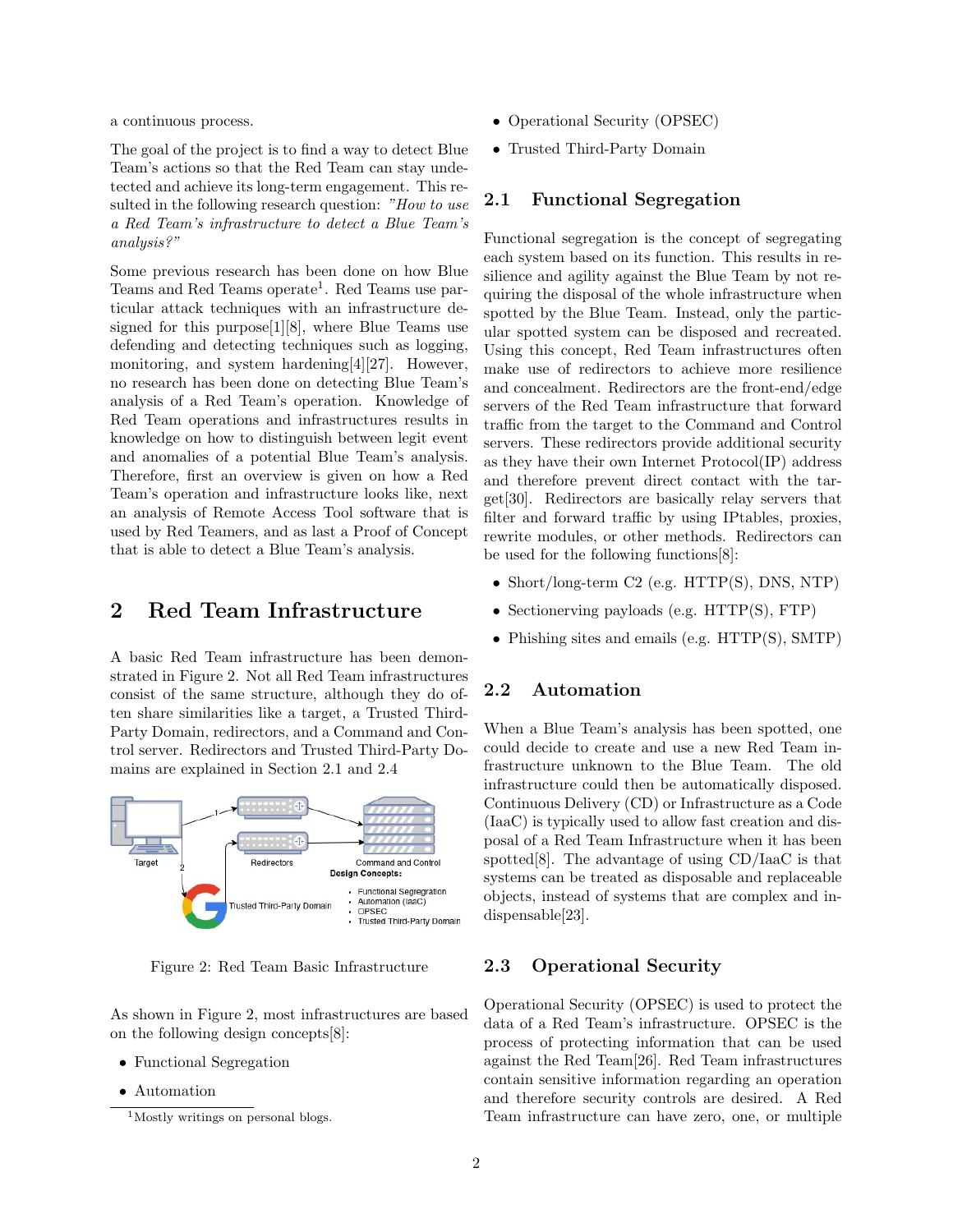a continuous process.

The goal of the project is to find a way to detect Blue Team's actions so that the Red Team can stay undetected and achieve its long-term engagement. This resulted in the following research question: "How to use a Red Team's infrastructure to detect a Blue Team's analysis?"

Some previous research has been done on how Blue Teams and Red Teams operate<sup>[1](#page-1-0)</sup>. Red Teams use particular attack techniques with an infrastructure designed for this purpose[\[1\]](#page-10-0)[\[8\]](#page-10-1), where Blue Teams use defending and detecting techniques such as logging, monitoring, and system hardening[\[4\]](#page-10-2)[\[27\]](#page-11-0). However, no research has been done on detecting Blue Team's analysis of a Red Team's operation. Knowledge of Red Team operations and infrastructures results in knowledge on how to distinguish between legit event and anomalies of a potential Blue Team's analysis. Therefore, first an overview is given on how a Red Team's operation and infrastructure looks like, next an analysis of Remote Access Tool software that is used by Red Teamers, and as last a Proof of Concept that is able to detect a Blue Team's analysis.

## 2 Red Team Infrastructure

A basic Red Team infrastructure has been demonstrated in Figure [2.](#page-1-1) Not all Red Team infrastructures consist of the same structure, although they do often share similarities like a target, a Trusted Third-Party Domain, redirectors, and a Command and Control server. Redirectors and Trusted Third-Party Domains are explained in Section [2.1](#page-1-2) and [2.4](#page-3-0)



<span id="page-1-1"></span>Figure 2: Red Team Basic Infrastructure

As shown in Figure [2,](#page-1-1) most infrastructures are based on the following design concepts[\[8\]](#page-10-1):

- Functional Segregation
- Automation
- Operational Security (OPSEC)
- Trusted Third-Party Domain

### <span id="page-1-2"></span>2.1 Functional Segregation

Functional segregation is the concept of segregating each system based on its function. This results in resilience and agility against the Blue Team by not requiring the disposal of the whole infrastructure when spotted by the Blue Team. Instead, only the particular spotted system can be disposed and recreated. Using this concept, Red Team infrastructures often make use of redirectors to achieve more resilience and concealment. Redirectors are the front-end/edge servers of the Red Team infrastructure that forward traffic from the target to the Command and Control servers. These redirectors provide additional security as they have their own Internet Protocol(IP) address and therefore prevent direct contact with the target[\[30\]](#page-11-1). Redirectors are basically relay servers that filter and forward traffic by using IPtables, proxies, rewrite modules, or other methods. Redirectors can be used for the following functions[\[8\]](#page-10-1):

- Short/long-term C2 (e.g. HTTP(S), DNS, NTP)
- Sectionerving payloads (e.g. HTTP(S), FTP)
- Phishing sites and emails (e.g. HTTP(S), SMTP)

### 2.2 Automation

When a Blue Team's analysis has been spotted, one could decide to create and use a new Red Team infrastructure unknown to the Blue Team. The old infrastructure could then be automatically disposed. Continuous Delivery (CD) or Infrastructure as a Code (IaaC) is typically used to allow fast creation and disposal of a Red Team Infrastructure when it has been spotted[\[8\]](#page-10-1). The advantage of using CD/IaaC is that systems can be treated as disposable and replaceable objects, instead of systems that are complex and indispensable[\[23\]](#page-11-2).

### 2.3 Operational Security

Operational Security (OPSEC) is used to protect the data of a Red Team's infrastructure. OPSEC is the process of protecting information that can be used against the Red Team[\[26\]](#page-11-3). Red Team infrastructures contain sensitive information regarding an operation and therefore security controls are desired. A Red Team infrastructure can have zero, one, or multiple

<span id="page-1-0"></span><sup>&</sup>lt;sup>1</sup>Mostly writings on personal blogs.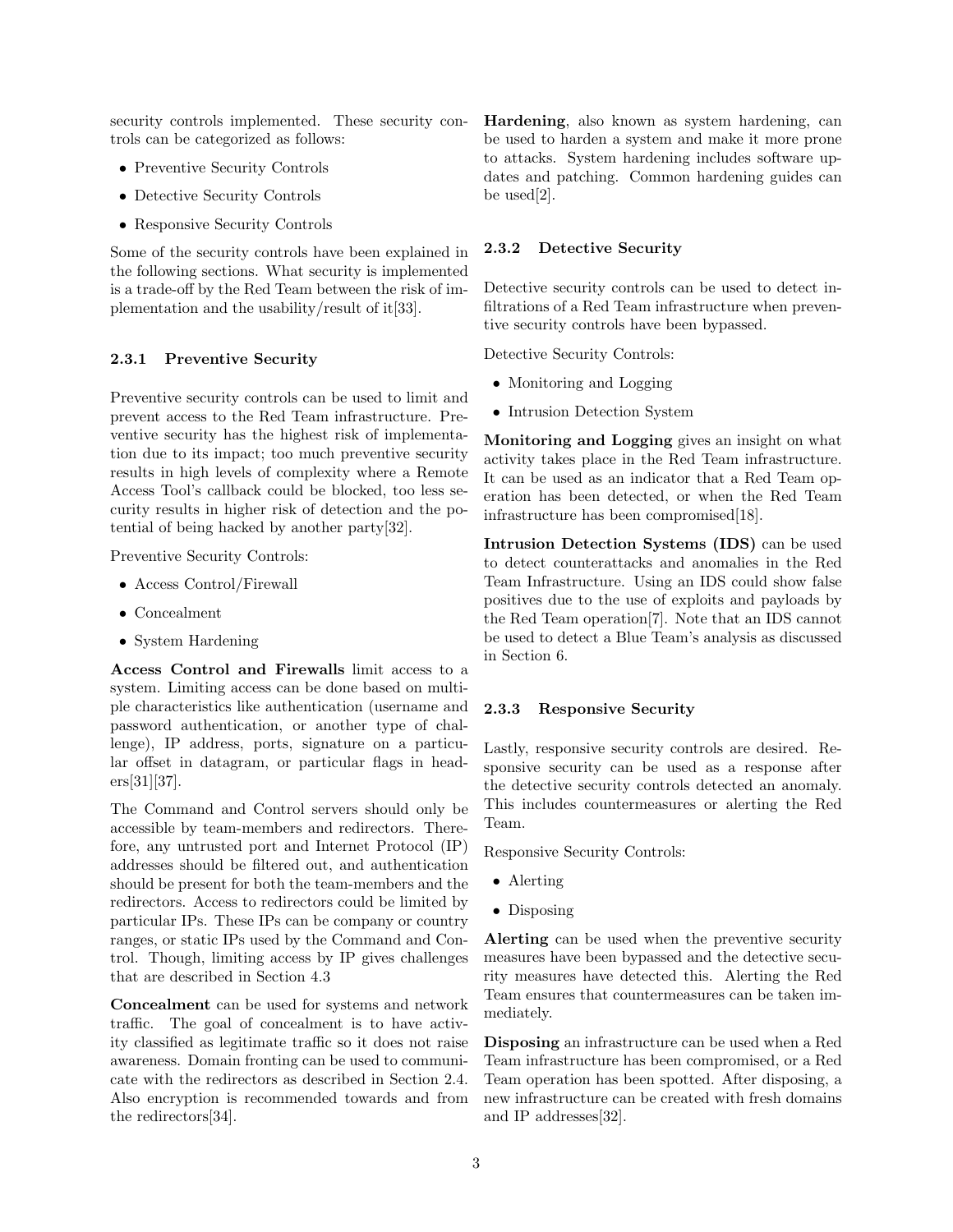security controls implemented. These security controls can be categorized as follows:

- Preventive Security Controls
- Detective Security Controls
- Responsive Security Controls

Some of the security controls have been explained in the following sections. What security is implemented is a trade-off by the Red Team between the risk of implementation and the usability/result of it[\[33\]](#page-11-4).

#### 2.3.1 Preventive Security

Preventive security controls can be used to limit and prevent access to the Red Team infrastructure. Preventive security has the highest risk of implementation due to its impact; too much preventive security results in high levels of complexity where a Remote Access Tool's callback could be blocked, too less security results in higher risk of detection and the potential of being hacked by another party[\[32\]](#page-11-5).

Preventive Security Controls:

- Access Control/Firewall
- Concealment
- System Hardening

Access Control and Firewalls limit access to a system. Limiting access can be done based on multiple characteristics like authentication (username and password authentication, or another type of challenge), IP address, ports, signature on a particular offset in datagram, or particular flags in headers[\[31\]](#page-11-6)[\[37\]](#page-11-7).

The Command and Control servers should only be accessible by team-members and redirectors. Therefore, any untrusted port and Internet Protocol (IP) addresses should be filtered out, and authentication should be present for both the team-members and the redirectors. Access to redirectors could be limited by particular IPs. These IPs can be company or country ranges, or static IPs used by the Command and Control. Though, limiting access by IP gives challenges that are described in Section [4.3](#page-5-0)

Concealment can be used for systems and network traffic. The goal of concealment is to have activity classified as legitimate traffic so it does not raise awareness. Domain fronting can be used to communicate with the redirectors as described in Section [2.4.](#page-3-0) Also encryption is recommended towards and from the redirectors[\[34\]](#page-11-8).

Hardening, also known as system hardening, can be used to harden a system and make it more prone to attacks. System hardening includes software updates and patching. Common hardening guides can be used[\[2\]](#page-10-3).

#### 2.3.2 Detective Security

Detective security controls can be used to detect infiltrations of a Red Team infrastructure when preventive security controls have been bypassed.

Detective Security Controls:

- Monitoring and Logging
- Intrusion Detection System

Monitoring and Logging gives an insight on what activity takes place in the Red Team infrastructure. It can be used as an indicator that a Red Team operation has been detected, or when the Red Team infrastructure has been compromised[\[18\]](#page-11-9).

Intrusion Detection Systems (IDS) can be used to detect counterattacks and anomalies in the Red Team Infrastructure. Using an IDS could show false positives due to the use of exploits and payloads by the Red Team operation[\[7\]](#page-10-4). Note that an IDS cannot be used to detect a Blue Team's analysis as discussed in Section [6.](#page-9-0)

#### 2.3.3 Responsive Security

Lastly, responsive security controls are desired. Responsive security can be used as a response after the detective security controls detected an anomaly. This includes countermeasures or alerting the Red Team.

Responsive Security Controls:

- Alerting
- Disposing

Alerting can be used when the preventive security measures have been bypassed and the detective security measures have detected this. Alerting the Red Team ensures that countermeasures can be taken immediately.

Disposing an infrastructure can be used when a Red Team infrastructure has been compromised, or a Red Team operation has been spotted. After disposing, a new infrastructure can be created with fresh domains and IP addresses[\[32\]](#page-11-5).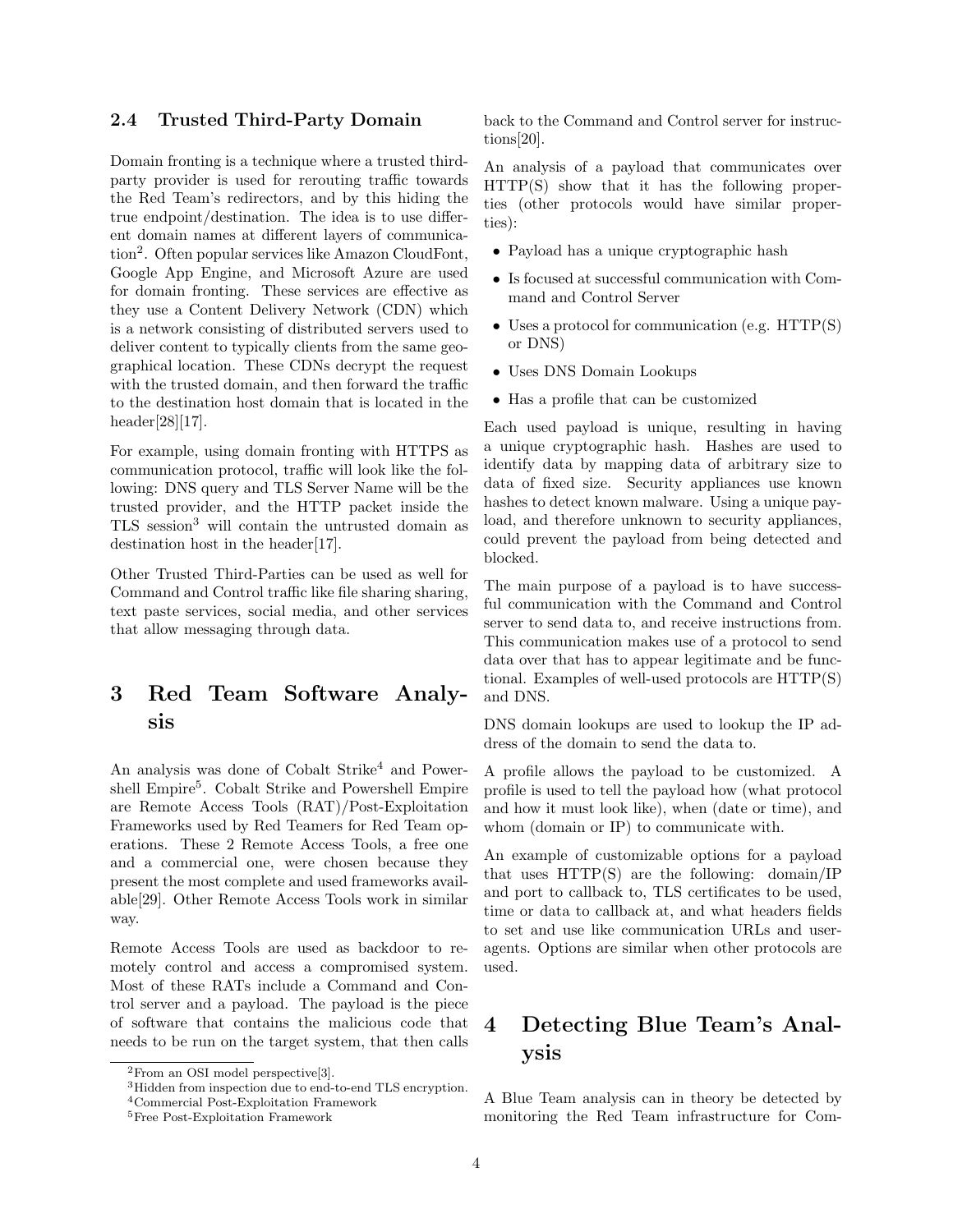## <span id="page-3-0"></span>2.4 Trusted Third-Party Domain

Domain fronting is a technique where a trusted thirdparty provider is used for rerouting traffic towards the Red Team's redirectors, and by this hiding the true endpoint/destination. The idea is to use different domain names at different layers of communication[2](#page-3-1) . Often popular services like Amazon CloudFont, Google App Engine, and Microsoft Azure are used for domain fronting. These services are effective as they use a Content Delivery Network (CDN) which is a network consisting of distributed servers used to deliver content to typically clients from the same geographical location. These CDNs decrypt the request with the trusted domain, and then forward the traffic to the destination host domain that is located in the header[\[28\]](#page-11-10)[\[17\]](#page-11-11).

For example, using domain fronting with HTTPS as communication protocol, traffic will look like the following: DNS query and TLS Server Name will be the trusted provider, and the HTTP packet inside the TLS session[3](#page-3-2) will contain the untrusted domain as destination host in the header[\[17\]](#page-11-11).

Other Trusted Third-Parties can be used as well for Command and Control traffic like file sharing sharing, text paste services, social media, and other services that allow messaging through data.

# <span id="page-3-5"></span>3 Red Team Software Analysis

An analysis was done of Cobalt Strike<sup>[4](#page-3-3)</sup> and Power-shell Empire<sup>[5](#page-3-4)</sup>. Cobalt Strike and Powershell Empire are Remote Access Tools (RAT)/Post-Exploitation Frameworks used by Red Teamers for Red Team operations. These 2 Remote Access Tools, a free one and a commercial one, were chosen because they present the most complete and used frameworks available[\[29\]](#page-11-12). Other Remote Access Tools work in similar way.

Remote Access Tools are used as backdoor to remotely control and access a compromised system. Most of these RATs include a Command and Control server and a payload. The payload is the piece of software that contains the malicious code that needs to be run on the target system, that then calls back to the Command and Control server for instructions[\[20\]](#page-11-13).

An analysis of a payload that communicates over HTTP(S) show that it has the following properties (other protocols would have similar properties):

- Payload has a unique cryptographic hash
- Is focused at successful communication with Command and Control Server
- Uses a protocol for communication (e.g. HTTP(S) or DNS)
- Uses DNS Domain Lookups
- Has a profile that can be customized

Each used payload is unique, resulting in having a unique cryptographic hash. Hashes are used to identify data by mapping data of arbitrary size to data of fixed size. Security appliances use known hashes to detect known malware. Using a unique payload, and therefore unknown to security appliances, could prevent the payload from being detected and blocked.

The main purpose of a payload is to have successful communication with the Command and Control server to send data to, and receive instructions from. This communication makes use of a protocol to send data over that has to appear legitimate and be functional. Examples of well-used protocols are HTTP(S) and DNS.

DNS domain lookups are used to lookup the IP address of the domain to send the data to.

A profile allows the payload to be customized. A profile is used to tell the payload how (what protocol and how it must look like), when (date or time), and whom (domain or IP) to communicate with.

An example of customizable options for a payload that uses HTTP(S) are the following: domain/IP and port to callback to, TLS certificates to be used, time or data to callback at, and what headers fields to set and use like communication URLs and useragents. Options are similar when other protocols are used.

# 4 Detecting Blue Team's Analysis

A Blue Team analysis can in theory be detected by monitoring the Red Team infrastructure for Com-

<span id="page-3-1"></span><sup>2</sup>From an OSI model perspective[\[3\]](#page-10-5).

<span id="page-3-2"></span><sup>3</sup>Hidden from inspection due to end-to-end TLS encryption.

<span id="page-3-3"></span><sup>4</sup>Commercial Post-Exploitation Framework

<span id="page-3-4"></span><sup>5</sup>Free Post-Exploitation Framework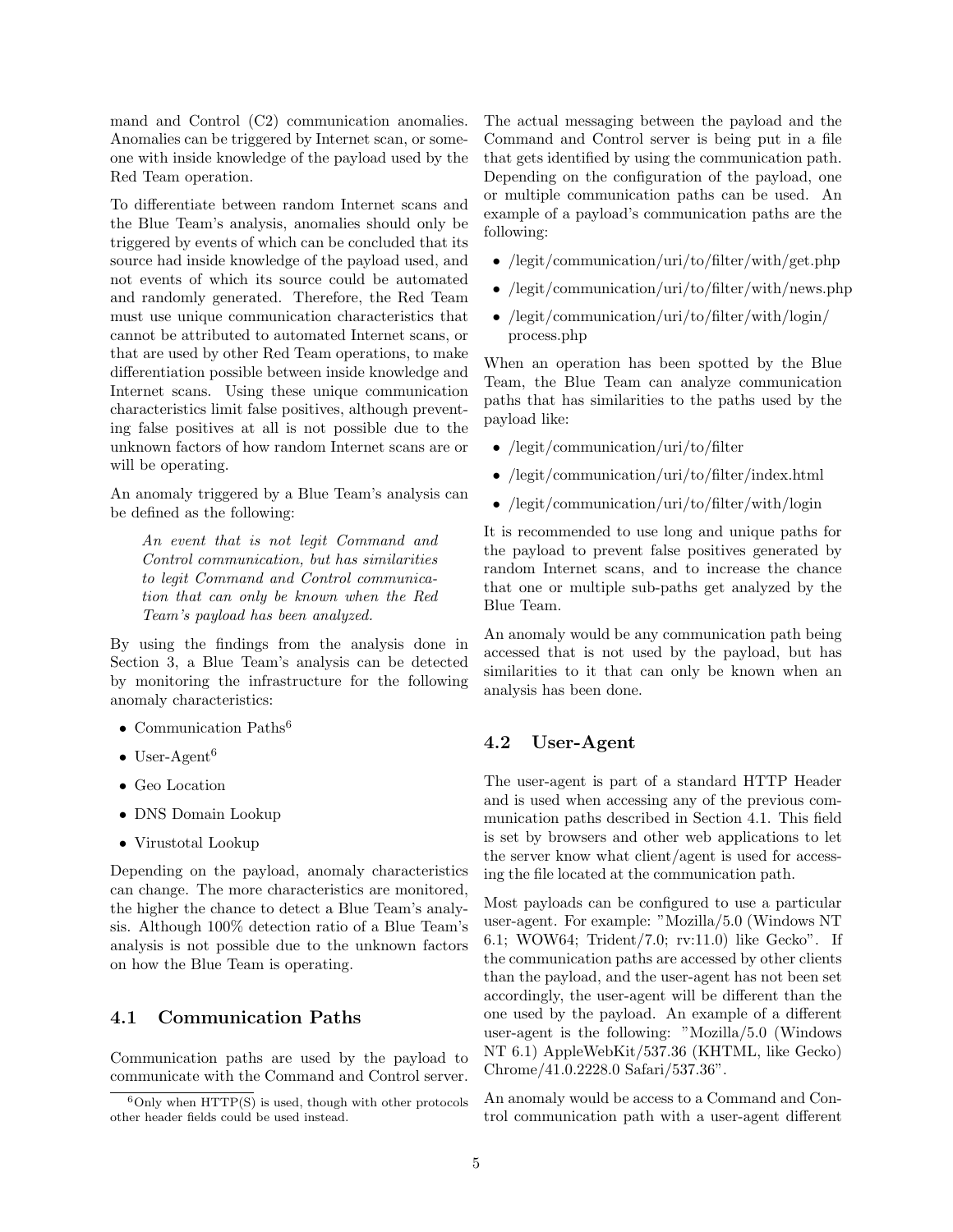mand and Control (C2) communication anomalies. Anomalies can be triggered by Internet scan, or someone with inside knowledge of the payload used by the Red Team operation.

To differentiate between random Internet scans and the Blue Team's analysis, anomalies should only be triggered by events of which can be concluded that its source had inside knowledge of the payload used, and not events of which its source could be automated and randomly generated. Therefore, the Red Team must use unique communication characteristics that cannot be attributed to automated Internet scans, or that are used by other Red Team operations, to make differentiation possible between inside knowledge and Internet scans. Using these unique communication characteristics limit false positives, although preventing false positives at all is not possible due to the unknown factors of how random Internet scans are or will be operating.

An anomaly triggered by a Blue Team's analysis can be defined as the following:

An event that is not legit Command and Control communication, but has similarities to legit Command and Control communication that can only be known when the Red Team's payload has been analyzed.

By using the findings from the analysis done in Section [3,](#page-3-5) a Blue Team's analysis can be detected by monitoring the infrastructure for the following anomaly characteristics:

- Communication Paths<sup>[6](#page-4-0)</sup>
- User-Agent<sup>[6](#page-4-0)</sup>
- Geo Location
- DNS Domain Lookup
- Virustotal Lookup

Depending on the payload, anomaly characteristics can change. The more characteristics are monitored, the higher the chance to detect a Blue Team's analysis. Although 100% detection ratio of a Blue Team's analysis is not possible due to the unknown factors on how the Blue Team is operating.

## <span id="page-4-1"></span>4.1 Communication Paths

Communication paths are used by the payload to communicate with the Command and Control server.

The actual messaging between the payload and the Command and Control server is being put in a file that gets identified by using the communication path. Depending on the configuration of the payload, one or multiple communication paths can be used. An example of a payload's communication paths are the following:

- /legit/communication/uri/to/filter/with/get.php
- /legit/communication/uri/to/filter/with/news.php
- /legit/communication/uri/to/filter/with/login/ process.php

When an operation has been spotted by the Blue Team, the Blue Team can analyze communication paths that has similarities to the paths used by the payload like:

- /legit/communication/uri/to/filter
- /legit/communication/uri/to/filter/index.html
- /legit/communication/uri/to/filter/with/login

It is recommended to use long and unique paths for the payload to prevent false positives generated by random Internet scans, and to increase the chance that one or multiple sub-paths get analyzed by the Blue Team.

An anomaly would be any communication path being accessed that is not used by the payload, but has similarities to it that can only be known when an analysis has been done.

### <span id="page-4-2"></span>4.2 User-Agent

The user-agent is part of a standard HTTP Header and is used when accessing any of the previous communication paths described in Section [4.1.](#page-4-1) This field is set by browsers and other web applications to let the server know what client/agent is used for accessing the file located at the communication path.

Most payloads can be configured to use a particular user-agent. For example: "Mozilla/5.0 (Windows NT 6.1; WOW64; Trident/7.0; rv:11.0) like Gecko". If the communication paths are accessed by other clients than the payload, and the user-agent has not been set accordingly, the user-agent will be different than the one used by the payload. An example of a different user-agent is the following: "Mozilla/5.0 (Windows NT 6.1) AppleWebKit/537.36 (KHTML, like Gecko) Chrome/41.0.2228.0 Safari/537.36".

An anomaly would be access to a Command and Control communication path with a user-agent different

<span id="page-4-0"></span> $6$ Only when  $HTTP(S)$  is used, though with other protocols other header fields could be used instead.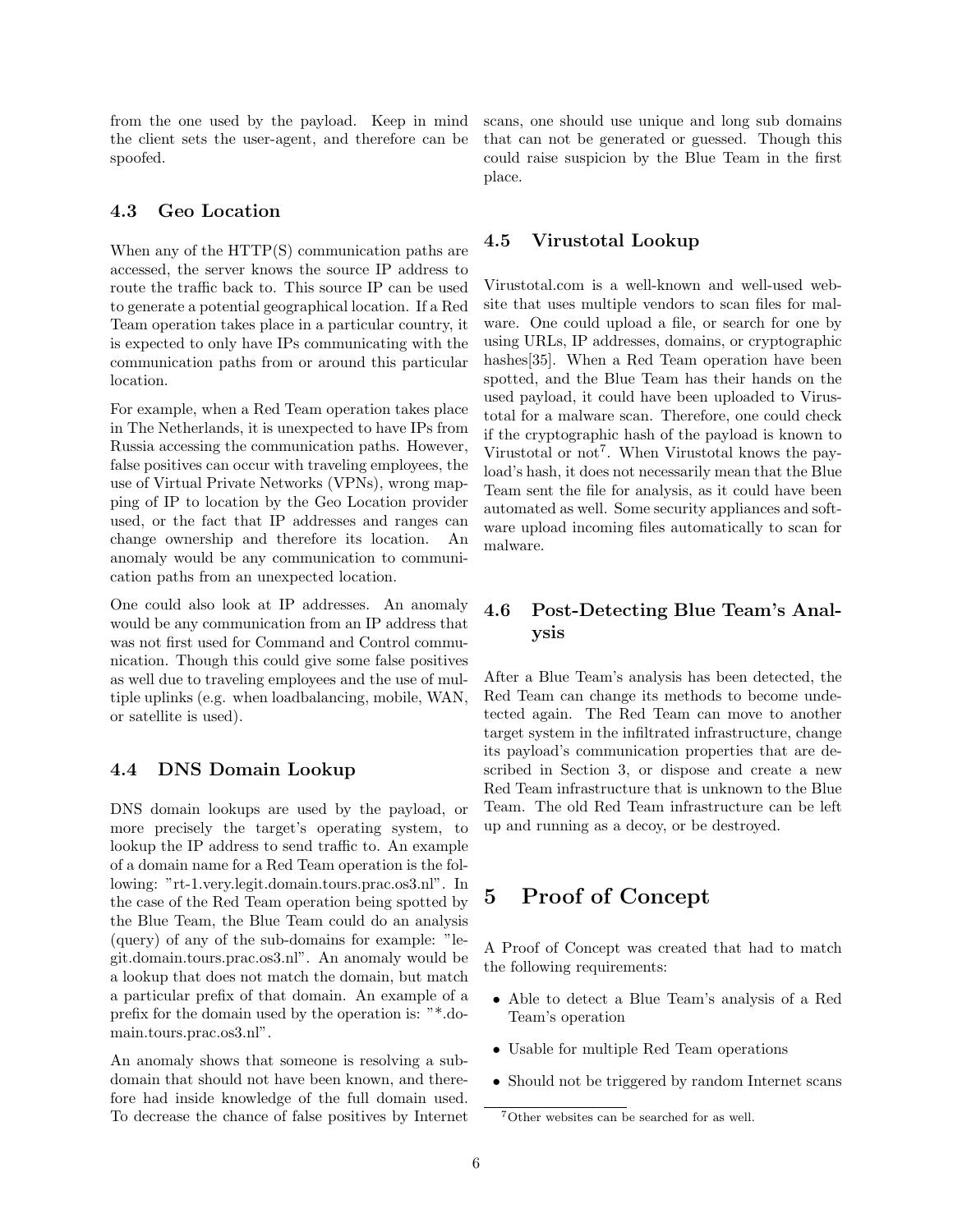from the one used by the payload. Keep in mind the client sets the user-agent, and therefore can be spoofed.

## <span id="page-5-0"></span>4.3 Geo Location

When any of the HTTP(S) communication paths are accessed, the server knows the source IP address to route the traffic back to. This source IP can be used to generate a potential geographical location. If a Red Team operation takes place in a particular country, it is expected to only have IPs communicating with the communication paths from or around this particular location.

For example, when a Red Team operation takes place in The Netherlands, it is unexpected to have IPs from Russia accessing the communication paths. However, false positives can occur with traveling employees, the use of Virtual Private Networks (VPNs), wrong mapping of IP to location by the Geo Location provider used, or the fact that IP addresses and ranges can change ownership and therefore its location. An anomaly would be any communication to communication paths from an unexpected location.

One could also look at IP addresses. An anomaly would be any communication from an IP address that was not first used for Command and Control communication. Though this could give some false positives as well due to traveling employees and the use of multiple uplinks (e.g. when loadbalancing, mobile, WAN, or satellite is used).

## <span id="page-5-2"></span>4.4 DNS Domain Lookup

DNS domain lookups are used by the payload, or more precisely the target's operating system, to lookup the IP address to send traffic to. An example of a domain name for a Red Team operation is the following: "rt-1.very.legit.domain.tours.prac.os3.nl". In the case of the Red Team operation being spotted by the Blue Team, the Blue Team could do an analysis (query) of any of the sub-domains for example: "legit.domain.tours.prac.os3.nl". An anomaly would be a lookup that does not match the domain, but match a particular prefix of that domain. An example of a prefix for the domain used by the operation is: "\*.domain.tours.prac.os3.nl".

An anomaly shows that someone is resolving a subdomain that should not have been known, and therefore had inside knowledge of the full domain used. To decrease the chance of false positives by Internet scans, one should use unique and long sub domains that can not be generated or guessed. Though this could raise suspicion by the Blue Team in the first place.

## <span id="page-5-3"></span>4.5 Virustotal Lookup

Virustotal.com is a well-known and well-used website that uses multiple vendors to scan files for malware. One could upload a file, or search for one by using URLs, IP addresses, domains, or cryptographic hashes[\[35\]](#page-11-14). When a Red Team operation have been spotted, and the Blue Team has their hands on the used payload, it could have been uploaded to Virustotal for a malware scan. Therefore, one could check if the cryptographic hash of the payload is known to Virustotal or not<sup>[7](#page-5-1)</sup>. When Virustotal knows the payload's hash, it does not necessarily mean that the Blue Team sent the file for analysis, as it could have been automated as well. Some security appliances and software upload incoming files automatically to scan for malware.

## 4.6 Post-Detecting Blue Team's Analysis

After a Blue Team's analysis has been detected, the Red Team can change its methods to become undetected again. The Red Team can move to another target system in the infiltrated infrastructure, change its payload's communication properties that are described in Section [3,](#page-3-5) or dispose and create a new Red Team infrastructure that is unknown to the Blue Team. The old Red Team infrastructure can be left up and running as a decoy, or be destroyed.

# 5 Proof of Concept

A Proof of Concept was created that had to match the following requirements:

- Able to detect a Blue Team's analysis of a Red Team's operation
- Usable for multiple Red Team operations
- Should not be triggered by random Internet scans

<span id="page-5-1"></span><sup>7</sup>Other websites can be searched for as well.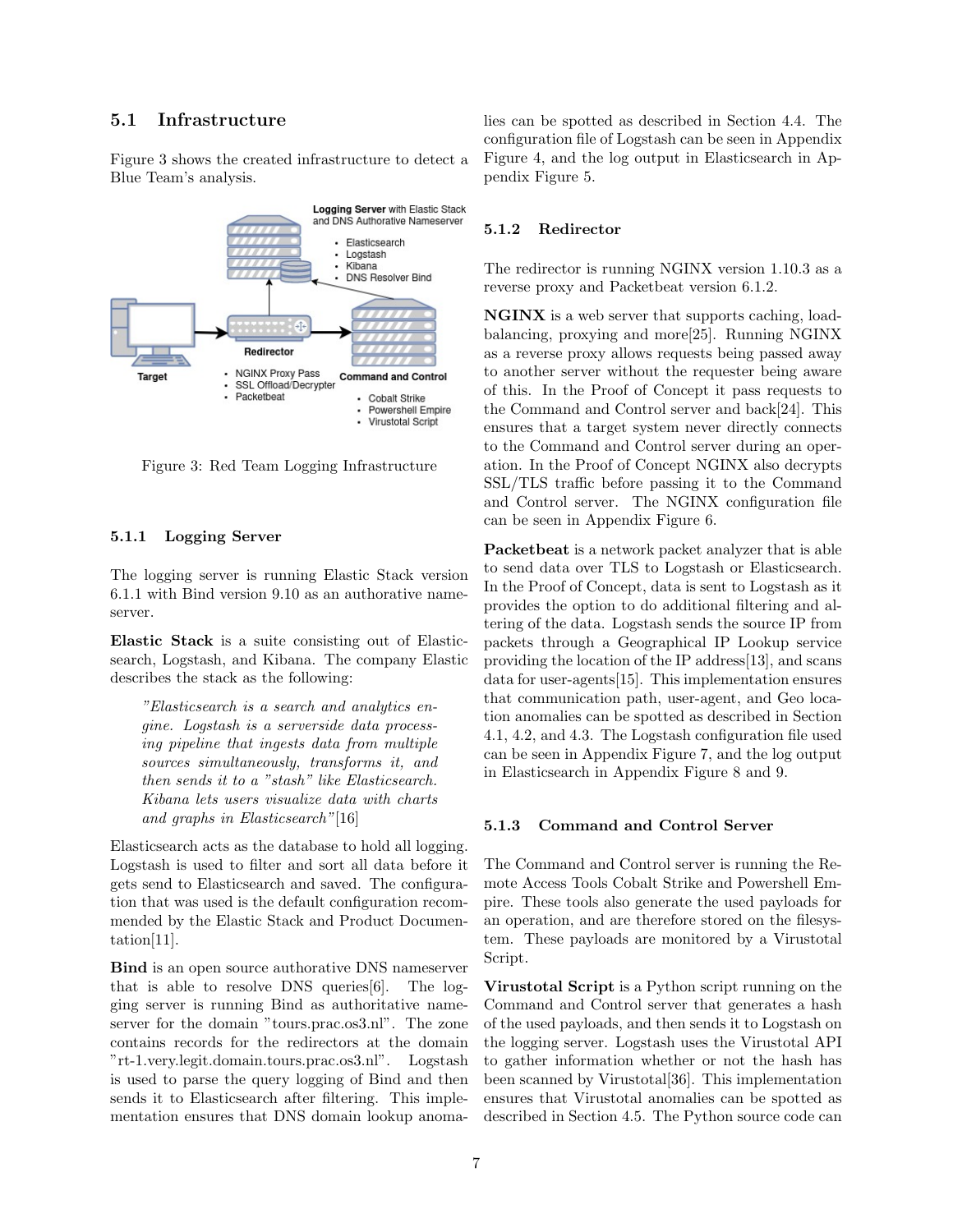## 5.1 Infrastructure

Figure [3](#page-6-0) shows the created infrastructure to detect a Blue Team's analysis.



<span id="page-6-0"></span>Figure 3: Red Team Logging Infrastructure

#### 5.1.1 Logging Server

The logging server is running Elastic Stack version 6.1.1 with Bind version 9.10 as an authorative nameserver.

Elastic Stack is a suite consisting out of Elasticsearch, Logstash, and Kibana. The company Elastic describes the stack as the following:

"Elasticsearch is a search and analytics engine. Logstash is a serverside data processing pipeline that ingests data from multiple sources simultaneously, transforms it, and then sends it to a "stash" like Elasticsearch. Kibana lets users visualize data with charts and graphs in Elasticsearch"[\[16\]](#page-11-15)

Elasticsearch acts as the database to hold all logging. Logstash is used to filter and sort all data before it gets send to Elasticsearch and saved. The configuration that was used is the default configuration recommended by the Elastic Stack and Product Documentation[\[11\]](#page-10-6).

Bind is an open source authorative DNS nameserver that is able to resolve DNS queries[\[6\]](#page-10-7). The logging server is running Bind as authoritative nameserver for the domain "tours.prac.os3.nl". The zone contains records for the redirectors at the domain "rt-1.very.legit.domain.tours.prac.os3.nl". Logstash is used to parse the query logging of Bind and then sends it to Elasticsearch after filtering. This implementation ensures that DNS domain lookup anomalies can be spotted as described in Section [4.4.](#page-5-2) The configuration file of Logstash can be seen in Appendix Figure [4,](#page-12-0) and the log output in Elasticsearch in Appendix Figure [5.](#page-13-0)

#### 5.1.2 Redirector

The redirector is running NGINX version 1.10.3 as a reverse proxy and Packetbeat version 6.1.2.

NGINX is a web server that supports caching, loadbalancing, proxying and more[\[25\]](#page-11-16). Running NGINX as a reverse proxy allows requests being passed away to another server without the requester being aware of this. In the Proof of Concept it pass requests to the Command and Control server and back[\[24\]](#page-11-17). This ensures that a target system never directly connects to the Command and Control server during an operation. In the Proof of Concept NGINX also decrypts SSL/TLS traffic before passing it to the Command and Control server. The NGINX configuration file can be seen in Appendix Figure [6.](#page-14-0)

Packetbeat is a network packet analyzer that is able to send data over TLS to Logstash or Elasticsearch. In the Proof of Concept, data is sent to Logstash as it provides the option to do additional filtering and altering of the data. Logstash sends the source IP from packets through a Geographical IP Lookup service providing the location of the IP address[\[13\]](#page-10-8), and scans data for user-agents[\[15\]](#page-11-18). This implementation ensures that communication path, user-agent, and Geo location anomalies can be spotted as described in Section [4.1,](#page-4-1) [4.2,](#page-4-2) and [4.3.](#page-5-0) The Logstash configuration file used can be seen in Appendix Figure [7,](#page-14-1) and the log output in Elasticsearch in Appendix Figure [8](#page-15-0) and [9.](#page-16-0)

#### 5.1.3 Command and Control Server

The Command and Control server is running the Remote Access Tools Cobalt Strike and Powershell Empire. These tools also generate the used payloads for an operation, and are therefore stored on the filesystem. These payloads are monitored by a Virustotal Script.

Virustotal Script is a Python script running on the Command and Control server that generates a hash of the used payloads, and then sends it to Logstash on the logging server. Logstash uses the Virustotal API to gather information whether or not the hash has been scanned by Virustotal[\[36\]](#page-11-19). This implementation ensures that Virustotal anomalies can be spotted as described in Section [4.5.](#page-5-3) The Python source code can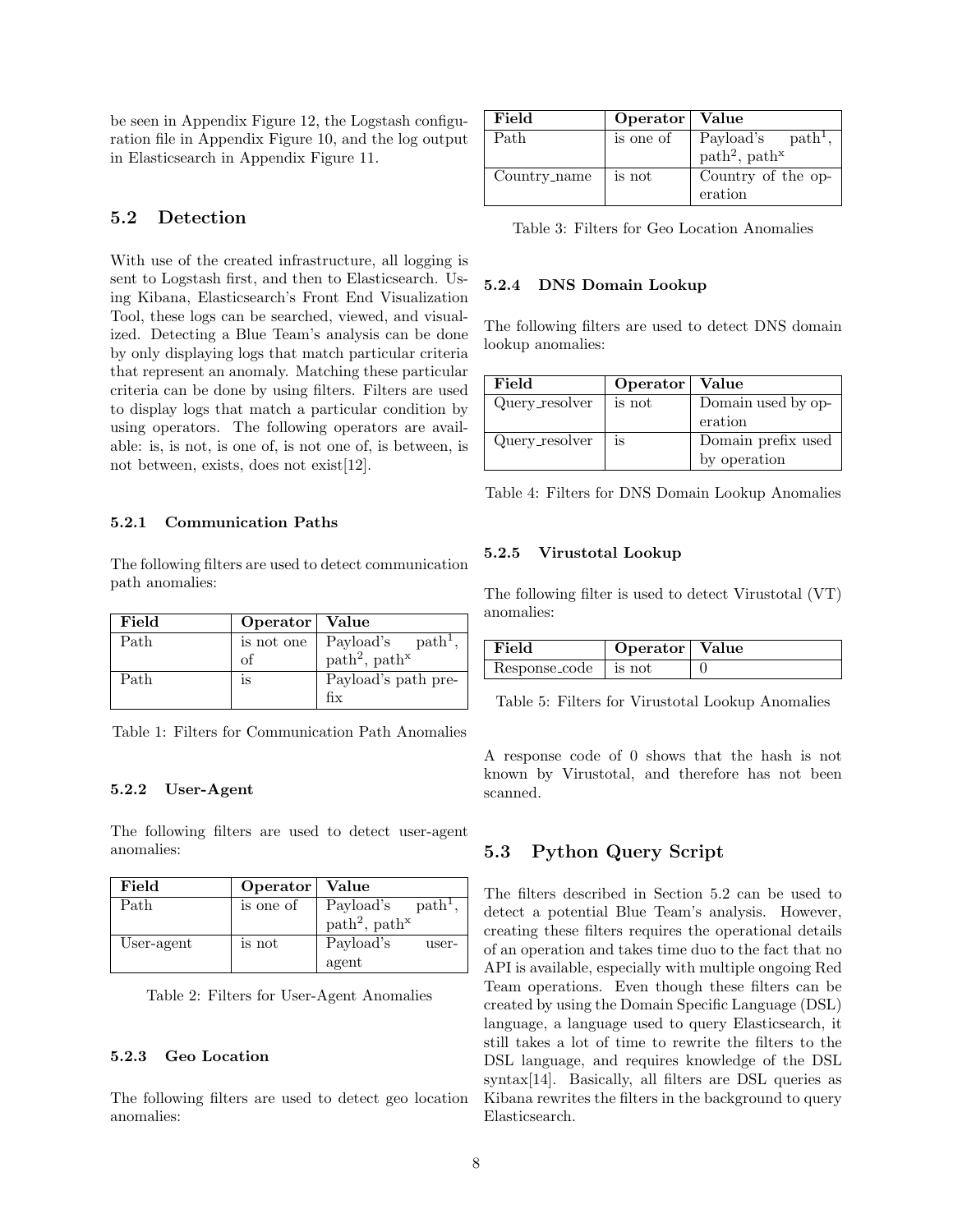be seen in Appendix Figure [12,](#page-18-0) the Logstash configuration file in Appendix Figure [10,](#page-17-0) and the log output in Elasticsearch in Appendix Figure [11.](#page-17-1)

### <span id="page-7-0"></span>5.2 Detection

With use of the created infrastructure, all logging is sent to Logstash first, and then to Elasticsearch. Using Kibana, Elasticsearch's Front End Visualization Tool, these logs can be searched, viewed, and visualized. Detecting a Blue Team's analysis can be done by only displaying logs that match particular criteria that represent an anomaly. Matching these particular criteria can be done by using filters. Filters are used to display logs that match a particular condition by using operators. The following operators are available: is, is not, is one of, is not one of, is between, is not between, exists, does not exist[\[12\]](#page-10-9).

#### 5.2.1 Communication Paths

The following filters are used to detect communication path anomalies:

| Field | Operator   Value |                                       |
|-------|------------------|---------------------------------------|
| Path  | is not one       | Payload's $path1$ ,                   |
|       | of               | path <sup>2</sup> , path <sup>x</sup> |
| Path  | 1S               | Payload's path pre-                   |
|       |                  | fix                                   |

#### 5.2.2 User-Agent

The following filters are used to detect user-agent anomalies:

| Field      | Operator   Value |                                       |
|------------|------------------|---------------------------------------|
| Path       | is one of        | Payload's $path1$ ,                   |
|            |                  | path <sup>2</sup> , path <sup>x</sup> |
| User-agent | is not           | Payload's<br>user-                    |
|            |                  | agent                                 |

Table 2: Filters for User-Agent Anomalies

#### 5.2.3 Geo Location

The following filters are used to detect geo location anomalies:

| Field        | Operator   Value |                                       |
|--------------|------------------|---------------------------------------|
| Path         | is one of        | Payload's $path1$ ,                   |
|              |                  | path <sup>2</sup> , path <sup>x</sup> |
| Country_name | is not           | Country of the op-                    |
|              |                  | eration                               |

Table 3: Filters for Geo Location Anomalies

#### 5.2.4 DNS Domain Lookup

The following filters are used to detect DNS domain lookup anomalies:

| Field          | Operator   Value |                    |
|----------------|------------------|--------------------|
| Query_resolver | is not           | Domain used by op- |
|                |                  | eration            |
| Query_resolver | is               | Domain prefix used |
|                |                  | by operation       |

Table 4: Filters for DNS Domain Lookup Anomalies

#### 5.2.5 Virustotal Lookup

The following filter is used to detect Virustotal (VT) anomalies:

| Field                | Operator   Value |  |
|----------------------|------------------|--|
| $Resposecode$ is not |                  |  |

Table 5: Filters for Virustotal Lookup Anomalies

A response code of 0 shows that the hash is not known by Virustotal, and therefore has not been scanned.

### <span id="page-7-1"></span>5.3 Python Query Script

The filters described in Section [5.2](#page-7-0) can be used to detect a potential Blue Team's analysis. However, creating these filters requires the operational details of an operation and takes time duo to the fact that no API is available, especially with multiple ongoing Red Team operations. Even though these filters can be created by using the Domain Specific Language (DSL) language, a language used to query Elasticsearch, it still takes a lot of time to rewrite the filters to the DSL language, and requires knowledge of the DSL syntax[\[14\]](#page-11-20). Basically, all filters are DSL queries as Kibana rewrites the filters in the background to query Elasticsearch.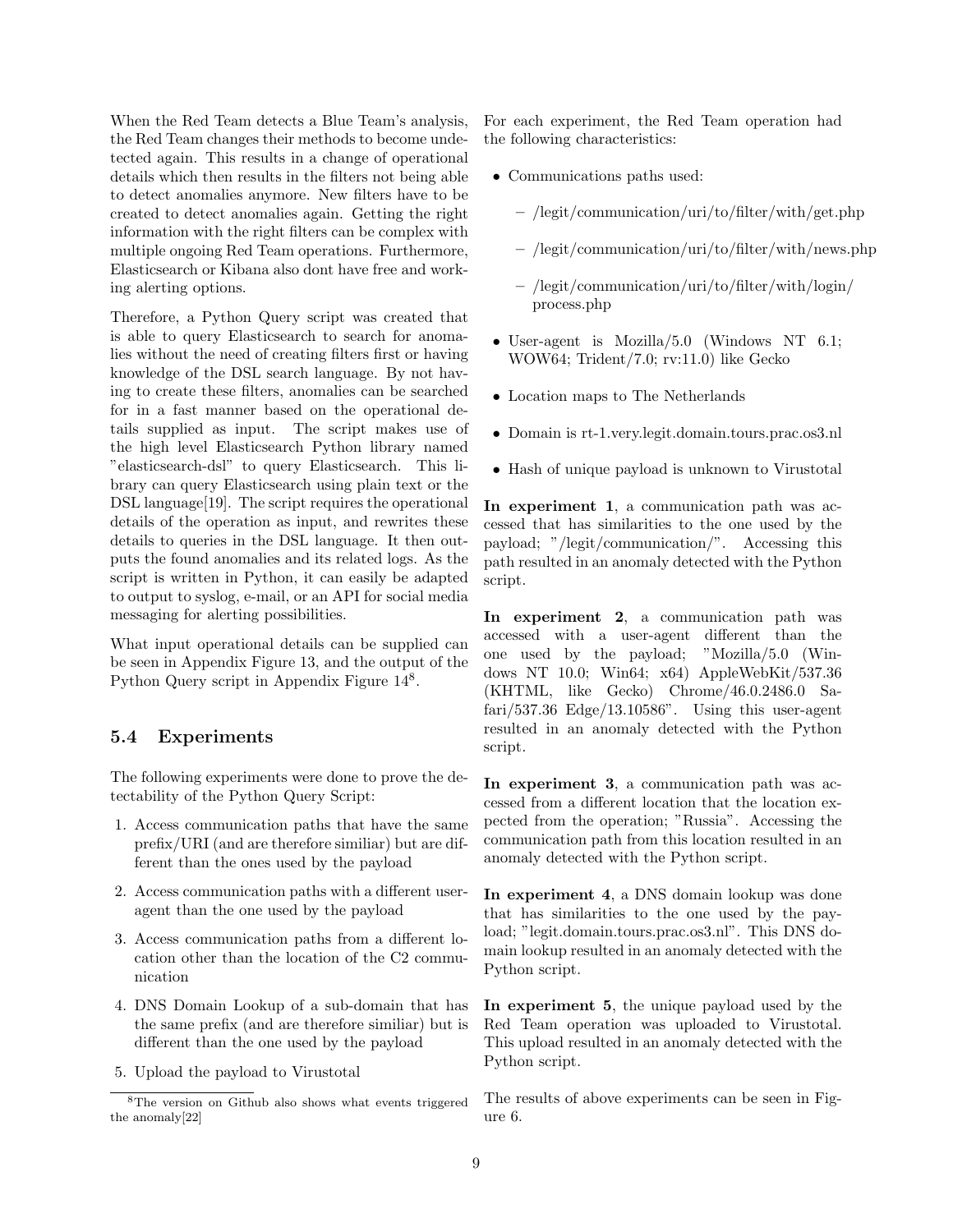When the Red Team detects a Blue Team's analysis, the Red Team changes their methods to become undetected again. This results in a change of operational details which then results in the filters not being able to detect anomalies anymore. New filters have to be created to detect anomalies again. Getting the right information with the right filters can be complex with multiple ongoing Red Team operations. Furthermore, Elasticsearch or Kibana also dont have free and working alerting options.

Therefore, a Python Query script was created that is able to query Elasticsearch to search for anomalies without the need of creating filters first or having knowledge of the DSL search language. By not having to create these filters, anomalies can be searched for in a fast manner based on the operational details supplied as input. The script makes use of the high level Elasticsearch Python library named "elasticsearch-dsl" to query Elasticsearch. This library can query Elasticsearch using plain text or the DSL language[\[19\]](#page-11-21). The script requires the operational details of the operation as input, and rewrites these details to queries in the DSL language. It then outputs the found anomalies and its related logs. As the script is written in Python, it can easily be adapted to output to syslog, e-mail, or an API for social media messaging for alerting possibilities.

What input operational details can be supplied can be seen in Appendix Figure [13,](#page-19-0) and the output of the Python Query script in Appendix Figure  $14^8$  $14^8$ .

## 5.4 Experiments

The following experiments were done to prove the detectability of the Python Query Script:

- 1. Access communication paths that have the same prefix/URI (and are therefore similiar) but are different than the ones used by the payload
- 2. Access communication paths with a different useragent than the one used by the payload
- 3. Access communication paths from a different location other than the location of the C2 communication
- 4. DNS Domain Lookup of a sub-domain that has the same prefix (and are therefore similiar) but is different than the one used by the payload
- 5. Upload the payload to Virustotal

For each experiment, the Red Team operation had the following characteristics:

- Communications paths used:
	- /legit/communication/uri/to/filter/with/get.php
	- /legit/communication/uri/to/filter/with/news.php
	- /legit/communication/uri/to/filter/with/login/ process.php
- User-agent is Mozilla/5.0 (Windows NT 6.1; WOW64; Trident/7.0; rv:11.0) like Gecko
- Location maps to The Netherlands
- Domain is rt-1.very.legit.domain.tours.prac.os3.nl
- Hash of unique payload is unknown to Virustotal

In experiment 1, a communication path was accessed that has similarities to the one used by the payload; "/legit/communication/". Accessing this path resulted in an anomaly detected with the Python script.

In experiment 2, a communication path was accessed with a user-agent different than the one used by the payload; "Mozilla/5.0 (Windows NT 10.0; Win64; x64) AppleWebKit/537.36 (KHTML, like Gecko) Chrome/46.0.2486.0 Safari $/537.36$  Edge $/13.10586$ ". Using this user-agent resulted in an anomaly detected with the Python script.

In experiment 3, a communication path was accessed from a different location that the location expected from the operation; "Russia". Accessing the communication path from this location resulted in an anomaly detected with the Python script.

In experiment 4, a DNS domain lookup was done that has similarities to the one used by the payload; "legit.domain.tours.prac.os3.nl". This DNS domain lookup resulted in an anomaly detected with the Python script.

In experiment 5, the unique payload used by the Red Team operation was uploaded to Virustotal. This upload resulted in an anomaly detected with the Python script.

The results of above experiments can be seen in Figure [6.](#page-9-1)

<span id="page-8-0"></span><sup>8</sup>The version on Github also shows what events triggered the anomaly[\[22\]](#page-11-22)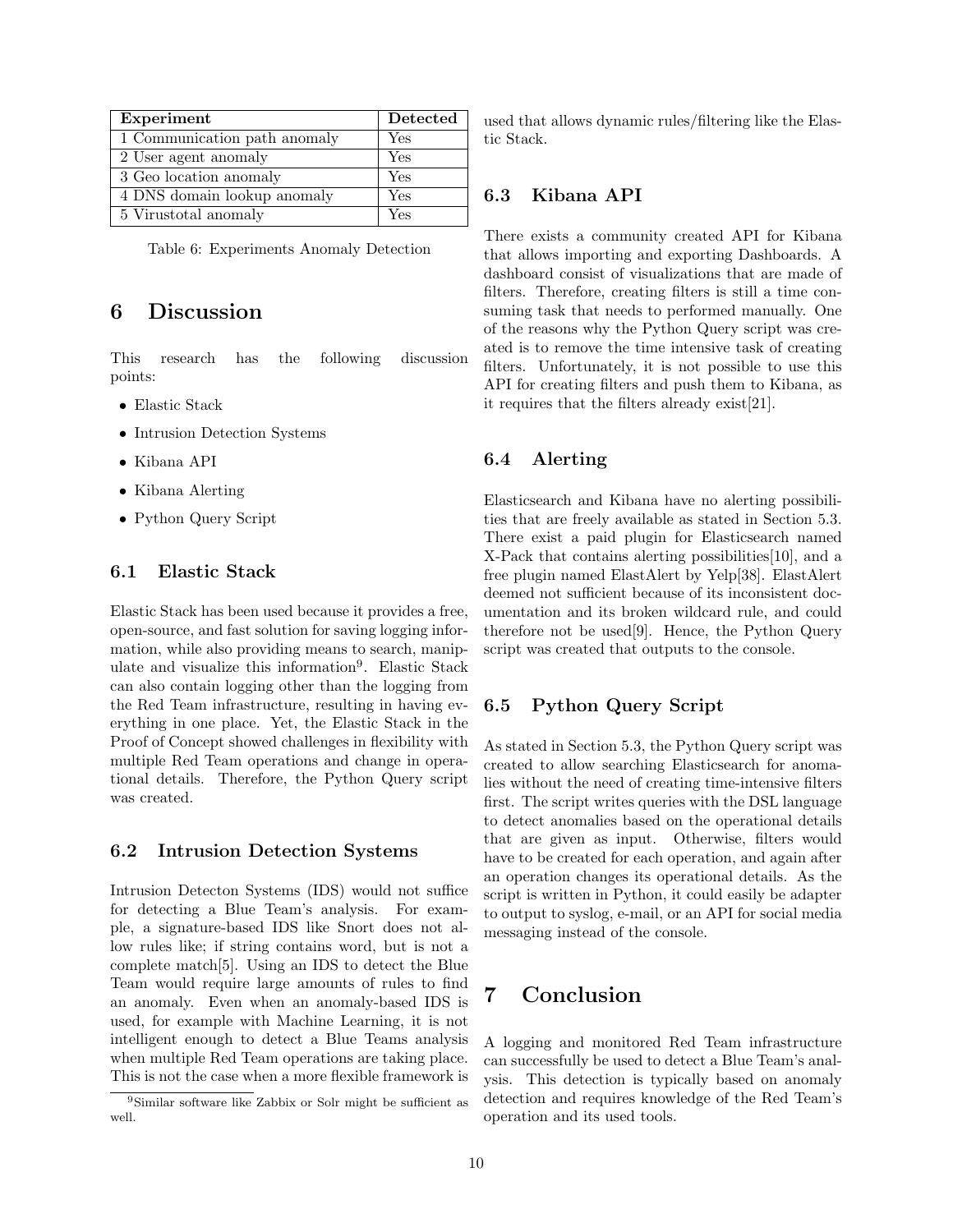| Experiment                   | Detected |
|------------------------------|----------|
| 1 Communication path anomaly | Yes      |
| 2 User agent anomaly         | Yes      |
| 3 Geo location anomaly       | Yes      |
| 4 DNS domain lookup anomaly  | Yes      |
| 5 Virustotal anomaly         | Yes      |

<span id="page-9-1"></span>Table 6: Experiments Anomaly Detection

## <span id="page-9-0"></span>6 Discussion

This research has the following discussion points:

- Elastic Stack
- Intrusion Detection Systems
- Kibana API
- Kibana Alerting
- Python Query Script

## 6.1 Elastic Stack

Elastic Stack has been used because it provides a free, open-source, and fast solution for saving logging information, while also providing means to search, manip-ulate and visualize this information<sup>[9](#page-9-2)</sup>. Elastic Stack can also contain logging other than the logging from the Red Team infrastructure, resulting in having everything in one place. Yet, the Elastic Stack in the Proof of Concept showed challenges in flexibility with multiple Red Team operations and change in operational details. Therefore, the Python Query script was created.

#### 6.2 Intrusion Detection Systems

Intrusion Detecton Systems (IDS) would not suffice for detecting a Blue Team's analysis. For example, a signature-based IDS like Snort does not allow rules like; if string contains word, but is not a complete match[\[5\]](#page-10-10). Using an IDS to detect the Blue Team would require large amounts of rules to find an anomaly. Even when an anomaly-based IDS is used, for example with Machine Learning, it is not intelligent enough to detect a Blue Teams analysis when multiple Red Team operations are taking place. This is not the case when a more flexible framework is used that allows dynamic rules/filtering like the Elastic Stack.

### 6.3 Kibana API

There exists a community created API for Kibana that allows importing and exporting Dashboards. A dashboard consist of visualizations that are made of filters. Therefore, creating filters is still a time consuming task that needs to performed manually. One of the reasons why the Python Query script was created is to remove the time intensive task of creating filters. Unfortunately, it is not possible to use this API for creating filters and push them to Kibana, as it requires that the filters already exist[\[21\]](#page-11-23).

## 6.4 Alerting

Elasticsearch and Kibana have no alerting possibilities that are freely available as stated in Section [5.3.](#page-7-1) There exist a paid plugin for Elasticsearch named X-Pack that contains alerting possibilities[\[10\]](#page-10-11), and a free plugin named ElastAlert by Yelp[\[38\]](#page-11-24). ElastAlert deemed not sufficient because of its inconsistent documentation and its broken wildcard rule, and could therefore not be used[\[9\]](#page-10-12). Hence, the Python Query script was created that outputs to the console.

## 6.5 Python Query Script

As stated in Section [5.3,](#page-7-1) the Python Query script was created to allow searching Elasticsearch for anomalies without the need of creating time-intensive filters first. The script writes queries with the DSL language to detect anomalies based on the operational details that are given as input. Otherwise, filters would have to be created for each operation, and again after an operation changes its operational details. As the script is written in Python, it could easily be adapter to output to syslog, e-mail, or an API for social media messaging instead of the console.

## 7 Conclusion

A logging and monitored Red Team infrastructure can successfully be used to detect a Blue Team's analysis. This detection is typically based on anomaly detection and requires knowledge of the Red Team's operation and its used tools.

<span id="page-9-2"></span><sup>9</sup>Similar software like Zabbix or Solr might be sufficient as well.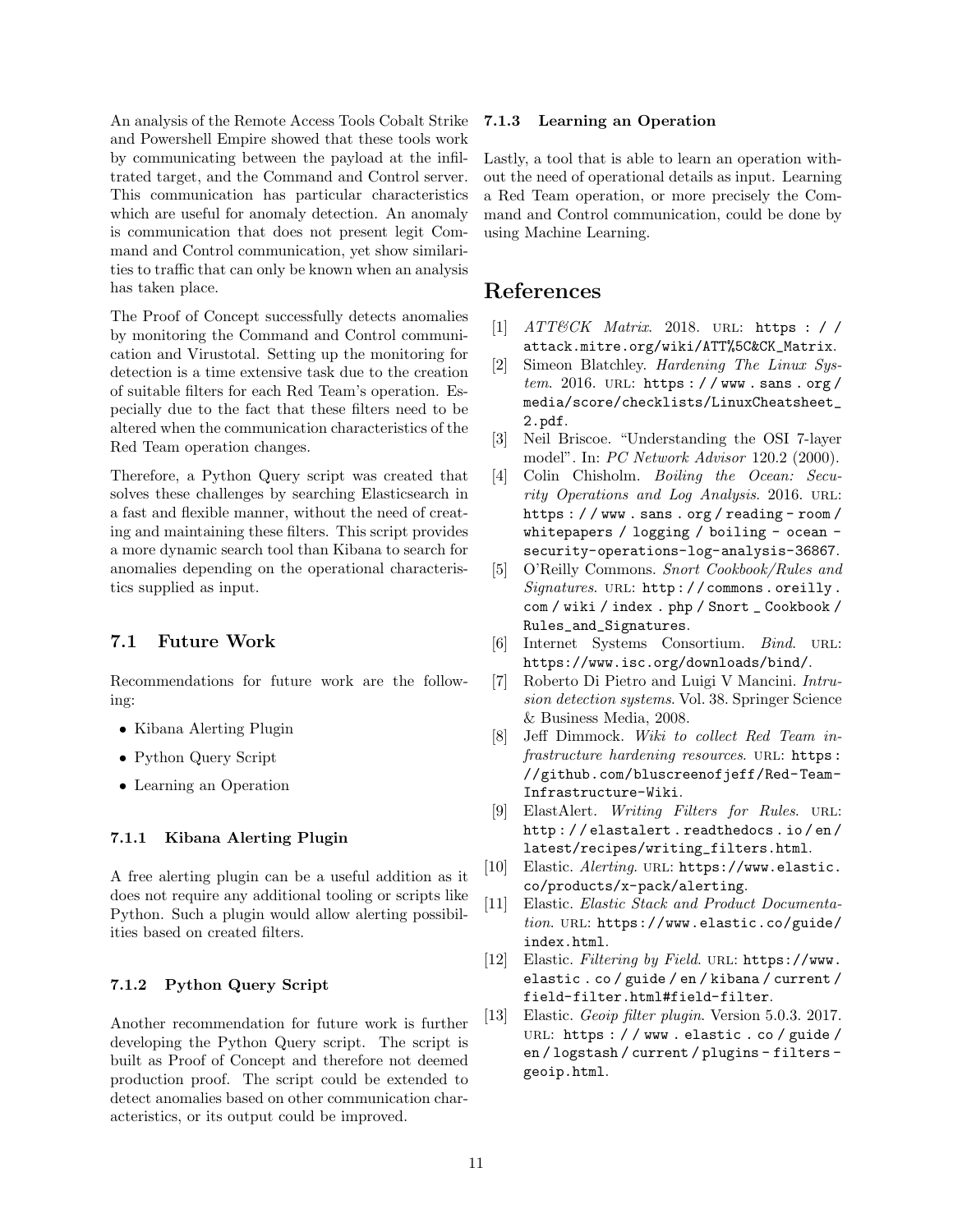An analysis of the Remote Access Tools Cobalt Strike and Powershell Empire showed that these tools work by communicating between the payload at the infiltrated target, and the Command and Control server. This communication has particular characteristics which are useful for anomaly detection. An anomaly is communication that does not present legit Command and Control communication, yet show similarities to traffic that can only be known when an analysis has taken place.

The Proof of Concept successfully detects anomalies by monitoring the Command and Control communication and Virustotal. Setting up the monitoring for detection is a time extensive task due to the creation of suitable filters for each Red Team's operation. Especially due to the fact that these filters need to be altered when the communication characteristics of the Red Team operation changes.

Therefore, a Python Query script was created that solves these challenges by searching Elasticsearch in a fast and flexible manner, without the need of creating and maintaining these filters. This script provides a more dynamic search tool than Kibana to search for anomalies depending on the operational characteristics supplied as input.

## 7.1 Future Work

Recommendations for future work are the following:

- Kibana Alerting Plugin
- Python Query Script
- Learning an Operation

## 7.1.1 Kibana Alerting Plugin

A free alerting plugin can be a useful addition as it does not require any additional tooling or scripts like Python. Such a plugin would allow alerting possibilities based on created filters.

## 7.1.2 Python Query Script

Another recommendation for future work is further developing the Python Query script. The script is built as Proof of Concept and therefore not deemed production proof. The script could be extended to detect anomalies based on other communication characteristics, or its output could be improved.

### 7.1.3 Learning an Operation

Lastly, a tool that is able to learn an operation without the need of operational details as input. Learning a Red Team operation, or more precisely the Command and Control communication, could be done by using Machine Learning.

## References

- <span id="page-10-0"></span>[1] ATT&CK Matrix. 2018. URL: [https : / /](https://attack.mitre.org/wiki/ATT%5C&CK_Matrix) [attack.mitre.org/wiki/ATT%5C&CK\\_Matrix](https://attack.mitre.org/wiki/ATT%5C&CK_Matrix).
- <span id="page-10-3"></span>[2] Simeon Blatchley. Hardening The Linux Sys $tem. 2016. \text{ URL: `https://www.sans.org/">https://www.sans.org/`$ [media/score/checklists/LinuxCheatsheet\\_](https://www.sans.org/media/score/checklists/LinuxCheatsheet_2.pdf) [2.pdf](https://www.sans.org/media/score/checklists/LinuxCheatsheet_2.pdf).
- <span id="page-10-5"></span>[3] Neil Briscoe. "Understanding the OSI 7-layer model". In: PC Network Advisor 120.2 (2000).
- <span id="page-10-2"></span>[4] Colin Chisholm. Boiling the Ocean: Security Operations and Log Analysis. 2016. URL: [https : / / www . sans . org / reading - room /](https://www.sans.org/reading-room/whitepapers/logging/boiling-ocean-security-operations-log-analysis-36867) [whitepapers / logging / boiling - ocean](https://www.sans.org/reading-room/whitepapers/logging/boiling-ocean-security-operations-log-analysis-36867)  [security-operations-log-analysis-36867](https://www.sans.org/reading-room/whitepapers/logging/boiling-ocean-security-operations-log-analysis-36867).
- <span id="page-10-10"></span>[5] O'Reilly Commons. Snort Cookbook/Rules and Signatures. URL: http://commons.oreilly. [com / wiki / index . php / Snort \\_ Cookbook /](http://commons.oreilly.com/wiki/index.php/Snort_Cookbook/Rules_and_Signatures) [Rules\\_and\\_Signatures](http://commons.oreilly.com/wiki/index.php/Snort_Cookbook/Rules_and_Signatures).
- <span id="page-10-7"></span>[6] Internet Systems Consortium. Bind. url: <https://www.isc.org/downloads/bind/>.
- <span id="page-10-4"></span>[7] Roberto Di Pietro and Luigi V Mancini. Intrusion detection systems. Vol. 38. Springer Science & Business Media, 2008.
- <span id="page-10-1"></span>[8] Jeff Dimmock. Wiki to collect Red Team infrastructure hardening resources. URL: [https:](https://github.com/bluscreenofjeff/Red-Team-Infrastructure-Wiki) [//github.com/bluscreenofjeff/Red-Team-](https://github.com/bluscreenofjeff/Red-Team-Infrastructure-Wiki)[Infrastructure-Wiki](https://github.com/bluscreenofjeff/Red-Team-Infrastructure-Wiki).
- <span id="page-10-12"></span>[9] ElastAlert. Writing Filters for Rules. URL: [http : / / elastalert . readthedocs . io / en /](http://elastalert.readthedocs.io/en/latest/recipes/writing_filters.html) [latest/recipes/writing\\_filters.html](http://elastalert.readthedocs.io/en/latest/recipes/writing_filters.html).
- <span id="page-10-11"></span>[10] Elastic. Alerting. URL: [https://www.elastic.](https://www.elastic.co/products/x-pack/alerting) [co/products/x-pack/alerting](https://www.elastic.co/products/x-pack/alerting).
- <span id="page-10-6"></span>[11] Elastic. Elastic Stack and Product Documentation. URL: [https://www.elastic.co/guide/](https://www.elastic.co/guide/index.html) [index.html](https://www.elastic.co/guide/index.html).
- <span id="page-10-9"></span>[12] Elastic. Filtering by Field. URL: [https://www.](https://www.elastic.co/guide/en/kibana/current/field-filter.html#field-filter) [elastic . co / guide / en / kibana / current /](https://www.elastic.co/guide/en/kibana/current/field-filter.html#field-filter) [field-filter.html#field-filter](https://www.elastic.co/guide/en/kibana/current/field-filter.html#field-filter).
- <span id="page-10-8"></span>[13] Elastic. Geoip filter plugin. Version 5.0.3. 2017. URL: [https : / / www . elastic . co / guide /](https://www.elastic.co/guide/en/logstash/current/plugins-filters-geoip.html) [en / logstash / current / plugins - filters](https://www.elastic.co/guide/en/logstash/current/plugins-filters-geoip.html)  [geoip.html](https://www.elastic.co/guide/en/logstash/current/plugins-filters-geoip.html).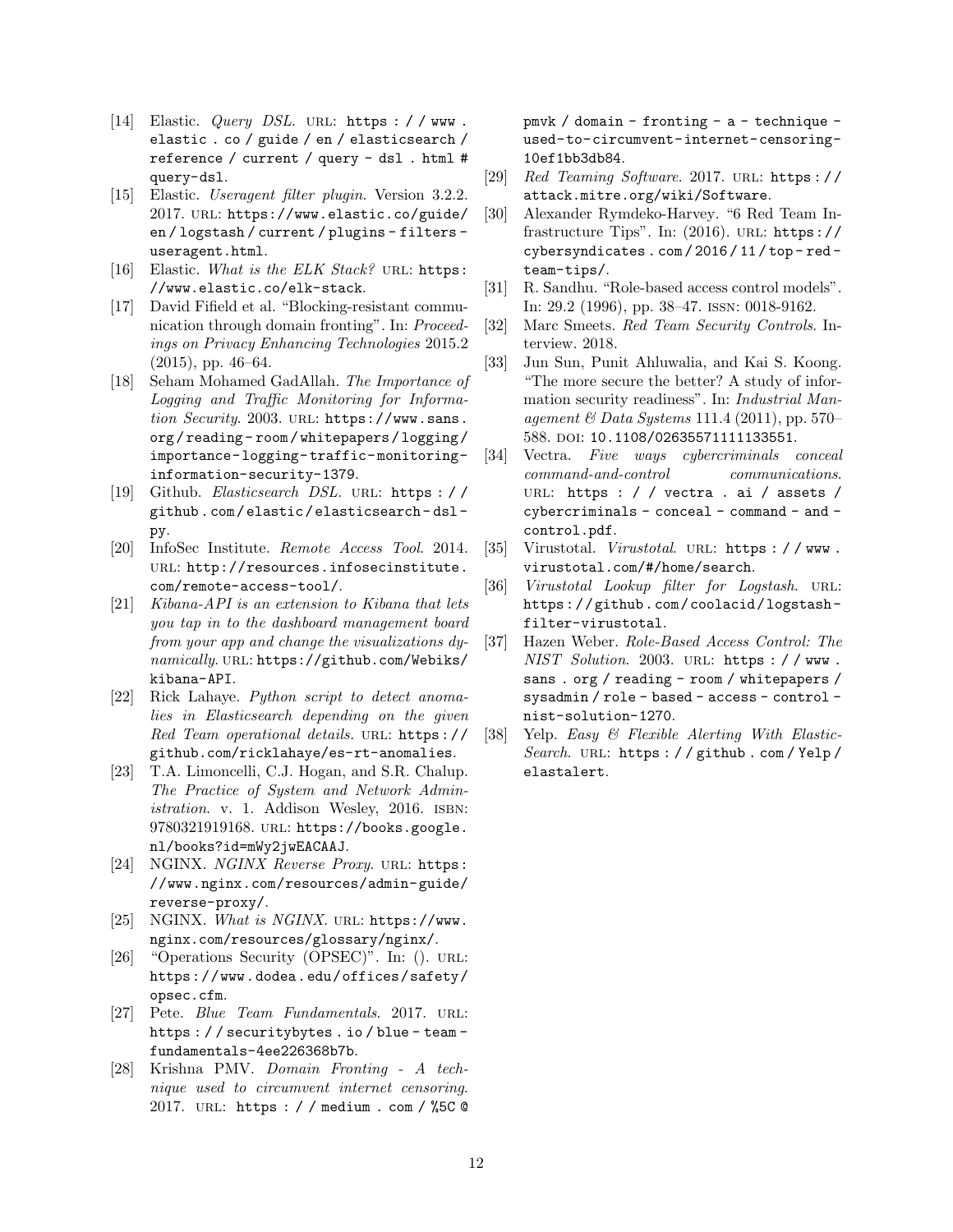- <span id="page-11-20"></span>[14] Elastic. *Query DSL*. URL: https :  $/$  / www. [elastic . co / guide / en / elasticsearch /](https://www.elastic.co/guide/en/elasticsearch/reference/current/query-dsl.html#query-dsl) [reference / current / query - dsl . html #](https://www.elastic.co/guide/en/elasticsearch/reference/current/query-dsl.html#query-dsl) [query-dsl](https://www.elastic.co/guide/en/elasticsearch/reference/current/query-dsl.html#query-dsl).
- <span id="page-11-18"></span>[15] Elastic. Useragent filter plugin. Version 3.2.2. 2017. url: [https://www.elastic.co/guide/](https://www.elastic.co/guide/en/logstash/current/plugins-filters-useragent.html) [en / logstash / current / plugins - filters](https://www.elastic.co/guide/en/logstash/current/plugins-filters-useragent.html)  [useragent.html](https://www.elastic.co/guide/en/logstash/current/plugins-filters-useragent.html).
- <span id="page-11-15"></span>[16] Elastic. What is the ELK Stack? URL: [https:](https://www.elastic.co/elk-stack) [//www.elastic.co/elk-stack](https://www.elastic.co/elk-stack).
- <span id="page-11-11"></span>[17] David Fifield et al. "Blocking-resistant communication through domain fronting". In: Proceedings on Privacy Enhancing Technologies 2015.2 (2015), pp. 46–64.
- <span id="page-11-9"></span>[18] Seham Mohamed GadAllah. The Importance of Logging and Traffic Monitoring for Information Security. 2003. URL: [https://www.sans.](https://www.sans.org/reading-room/whitepapers/logging/importance-logging-traffic-monitoring-information-security-1379) [org / reading - room / whitepapers / logging /](https://www.sans.org/reading-room/whitepapers/logging/importance-logging-traffic-monitoring-information-security-1379) [importance- logging- traffic- monitoring](https://www.sans.org/reading-room/whitepapers/logging/importance-logging-traffic-monitoring-information-security-1379)[information-security-1379](https://www.sans.org/reading-room/whitepapers/logging/importance-logging-traffic-monitoring-information-security-1379).
- <span id="page-11-21"></span>[19] Github. Elasticsearch DSL. url: [https : / /](https://github.com/elastic/elasticsearch-dsl-py) [github . com / elastic / elasticsearch - dsl](https://github.com/elastic/elasticsearch-dsl-py)  [py](https://github.com/elastic/elasticsearch-dsl-py).
- <span id="page-11-13"></span>[20] InfoSec Institute. Remote Access Tool. 2014. URL: [http://resources.infosecinstitute.](http://resources.infosecinstitute.com/remote-access-tool/) [com/remote-access-tool/](http://resources.infosecinstitute.com/remote-access-tool/).
- <span id="page-11-23"></span>[21] Kibana-API is an extension to Kibana that lets you tap in to the dashboard management board from your app and change the visualizations dynamically. url: [https://github.com/Webiks/](https://github.com/Webiks/kibana-API) [kibana-API](https://github.com/Webiks/kibana-API).
- <span id="page-11-22"></span>[22] Rick Lahaye. Python script to detect anomalies in Elasticsearch depending on the given Red Team operational details. url: [https://](https://github.com/ricklahaye/es-rt-anomalies) [github.com/ricklahaye/es-rt-anomalies](https://github.com/ricklahaye/es-rt-anomalies).
- <span id="page-11-2"></span>[23] T.A. Limoncelli, C.J. Hogan, and S.R. Chalup. The Practice of System and Network Administration. v. 1. Addison Wesley, 2016. ISBN: 9780321919168. url: [https://books.google.](https://books.google.nl/books?id=mWy2jwEACAAJ) [nl/books?id=mWy2jwEACAAJ](https://books.google.nl/books?id=mWy2jwEACAAJ).
- <span id="page-11-17"></span>[24] NGINX. NGINX Reverse Proxy. URL: [https:](https://www.nginx.com/resources/admin-guide/reverse-proxy/) [//www.nginx.com/resources/admin-guide/](https://www.nginx.com/resources/admin-guide/reverse-proxy/) [reverse-proxy/](https://www.nginx.com/resources/admin-guide/reverse-proxy/).
- <span id="page-11-16"></span>[25] NGINX. What is NGINX. URL: [https://www.](https://www.nginx.com/resources/glossary/nginx/) [nginx.com/resources/glossary/nginx/](https://www.nginx.com/resources/glossary/nginx/).
- <span id="page-11-3"></span>[26] "Operations Security (OPSEC)". In: (). URL: [https://www.dodea.edu/offices/safety/](https://www.dodea.edu/offices/safety/opsec.cfm) [opsec.cfm](https://www.dodea.edu/offices/safety/opsec.cfm).
- <span id="page-11-0"></span>[27] Pete. *Blue Team Fundamentals.* 2017. URL: [https : / / securitybytes . io / blue - team](https://securitybytes.io/blue-team-fundamentals-4ee226368b7b)  [fundamentals-4ee226368b7b](https://securitybytes.io/blue-team-fundamentals-4ee226368b7b).
- <span id="page-11-10"></span>[28] Krishna PMV. Domain Fronting - A technique used to circumvent internet censoring. 2017. url: [https : / / medium . com / %5C @](https://medium.com/%5C@pmvk/domain-fronting-a-technique-used-to-circumvent-internet-censoring-10ef1bb3db84)

[pmvk / domain - fronting - a - technique](https://medium.com/%5C@pmvk/domain-fronting-a-technique-used-to-circumvent-internet-censoring-10ef1bb3db84)  [used-to-circumvent-internet-censoring-](https://medium.com/%5C@pmvk/domain-fronting-a-technique-used-to-circumvent-internet-censoring-10ef1bb3db84)[10ef1bb3db84](https://medium.com/%5C@pmvk/domain-fronting-a-technique-used-to-circumvent-internet-censoring-10ef1bb3db84).

- <span id="page-11-12"></span>[29] Red Teaming Software. 2017. URL: https:// [attack.mitre.org/wiki/Software](https://attack.mitre.org/wiki/Software).
- <span id="page-11-1"></span>[30] Alexander Rymdeko-Harvey. "6 Red Team Infrastructure Tips". In:  $(2016)$ . URL: [https://](https://cybersyndicates.com/2016/11/top-red-team-tips/) [cybersyndicates . com / 2016 / 11 / top - red](https://cybersyndicates.com/2016/11/top-red-team-tips/)  [team-tips/](https://cybersyndicates.com/2016/11/top-red-team-tips/).
- <span id="page-11-6"></span>[31] R. Sandhu. "Role-based access control models". In: 29.2 (1996), pp. 38–47. issn: 0018-9162.
- <span id="page-11-5"></span>[32] Marc Smeets. Red Team Security Controls. Interview. 2018.
- <span id="page-11-4"></span>[33] Jun Sun, Punit Ahluwalia, and Kai S. Koong. "The more secure the better? A study of information security readiness". In: *Industrial Man*agement  $\&$  Data Systems 111.4 (2011), pp. 570– 588. doi: [10.1108/02635571111133551](https://doi.org/10.1108/02635571111133551).
- <span id="page-11-8"></span>[34] Vectra. Five ways cybercriminals conceal command-and-control communications. URL: [https : / / vectra . ai / assets /](https://vectra.ai/assets/cybercriminals-conceal-command-and-control.pdf) [cybercriminals - conceal - command - and](https://vectra.ai/assets/cybercriminals-conceal-command-and-control.pdf)  [control.pdf](https://vectra.ai/assets/cybercriminals-conceal-command-and-control.pdf).
- <span id="page-11-14"></span>[35] Virustotal. Virustotal. URL: https://www. [virustotal.com/#/home/search](https://www.virustotal.com/#/home/search).
- <span id="page-11-19"></span>[36] Virustotal Lookup filter for Logstash. URL: [https://github.com/coolacid/logstash](https://github.com/coolacid/logstash-filter-virustotal)[filter-virustotal](https://github.com/coolacid/logstash-filter-virustotal).
- <span id="page-11-7"></span>[37] Hazen Weber. Role-Based Access Control: The NIST Solution. 2003. URL: https : / / www. [sans . org / reading - room / whitepapers /](https://www.sans.org/reading-room/whitepapers/sysadmin/role-based-access-control-nist-solution-1270) [sysadmin / role - based - access - control](https://www.sans.org/reading-room/whitepapers/sysadmin/role-based-access-control-nist-solution-1270)  [nist-solution-1270](https://www.sans.org/reading-room/whitepapers/sysadmin/role-based-access-control-nist-solution-1270).
- <span id="page-11-24"></span>[38] Yelp. Easy & Flexible Alerting With ElasticSearch. URL: [https : / / github . com / Yelp /](https://github.com/Yelp/elastalert) [elastalert](https://github.com/Yelp/elastalert).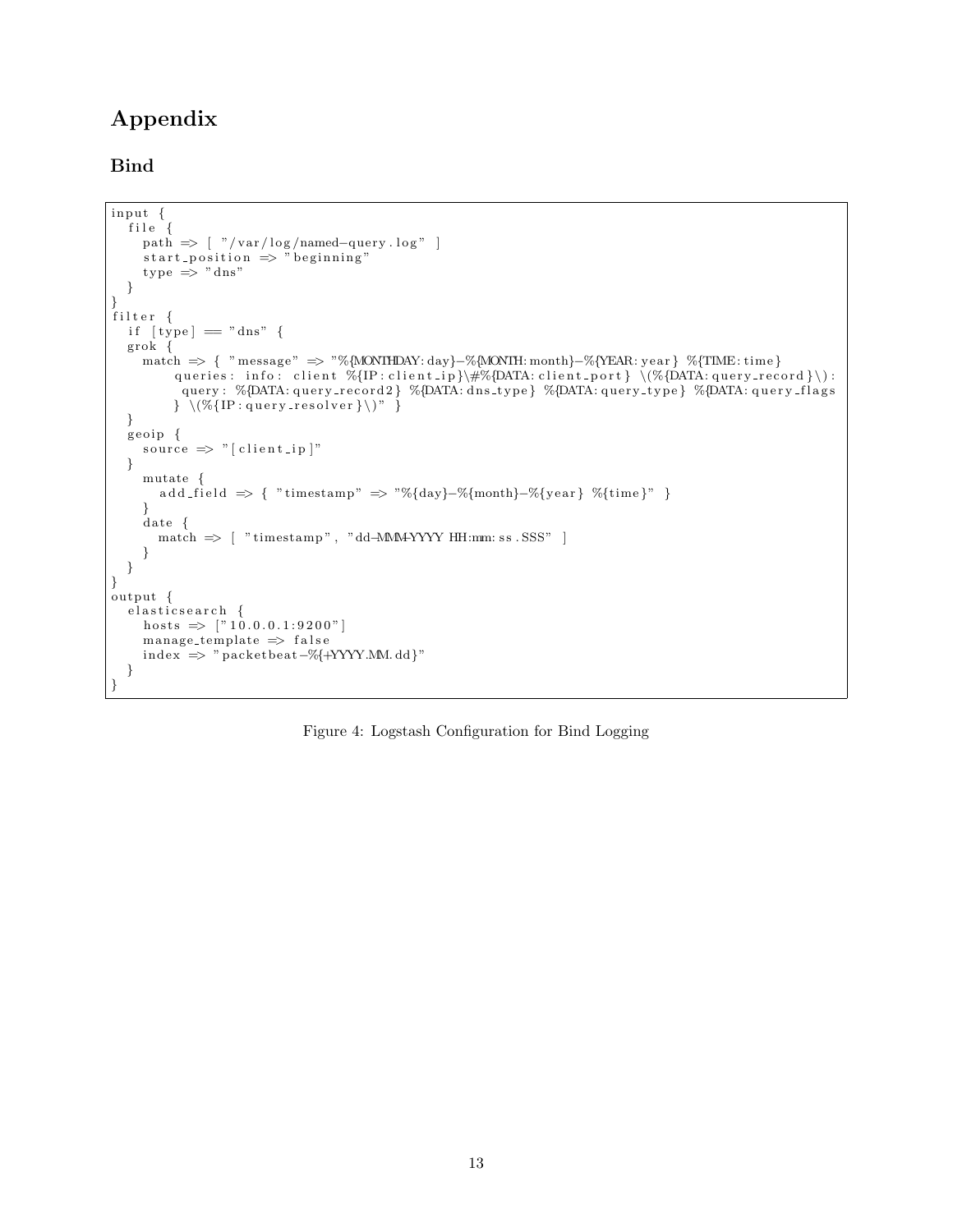# Appendix

## Bind

```
input \{file \{path \Rightarrow [ "/var/log/named-query.log" ]
     start\_position \implies "beginning"type \Rightarrow "dns"}
}
filter {
  if [ype] = "dns"grok {
    match => { "message " => "%{MONTHDAY: day}−%{MONTH: month}−%{YEAR: ye a r } %{TIME: time }
         queries: info: client \%{IP:client_ip}\#%{DATA:client_port} \(%{DATA:query_record }\):
          query : %{DATA: query_record2} %{DATA: dns_type} %{DATA: query_type} %{DATA: query_flags
         \} \ ( \%{IP: query\_resolver}) \}
  geoip {
    source \Rightarrow " [ client_ip ]"
  }
     mutate {
       add_field \Rightarrow { "timestamp" \Rightarrow "%{day}-%{month}-%{year} %{time}" }
     }
     date {
       match \implies [ "timestamp", "dd-MMA-YYYY HH:mm: ss . SSS" ]
     }
  }
}
output {
  elasticsearch {
    hosts \Rightarrow ["10.0.0.1:9200"]
     manage_template \Rightarrow false
    index \implies "packetbeat - %{+YYYMM. dd}""}
}
```
<span id="page-12-0"></span>Figure 4: Logstash Configuration for Bind Logging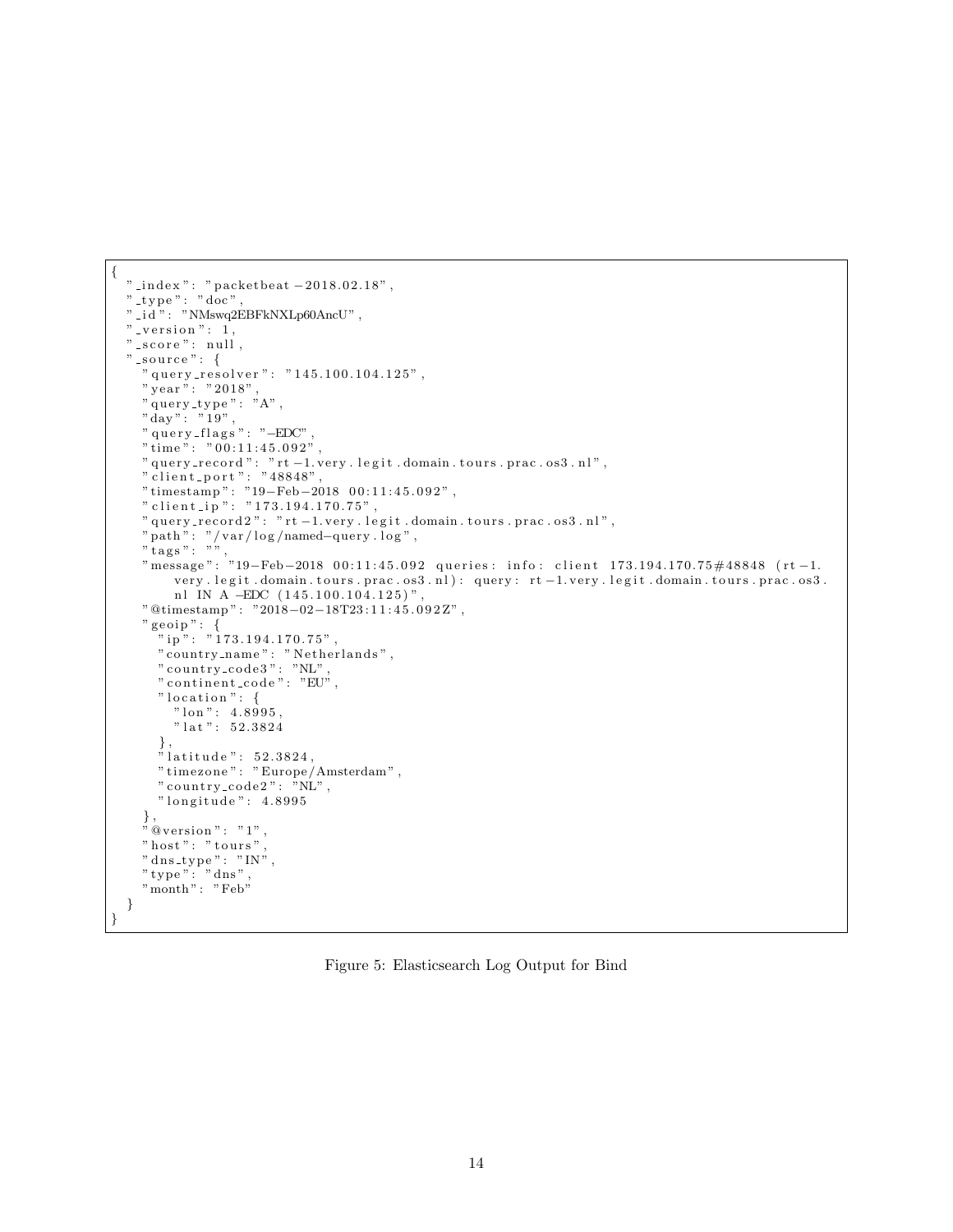```
{
 " _index": " packetbeat -2018.02.18",
 " t ype": "\dot{doc}",
 " \, i d " : " NMswq2EBFkNXLp60AncU" ,
 "-version": 1,
   \_score": null," _source ": {
    " query_resolver": "145.100.104.125",
    " year ": "2018",
    " query_type": "A",
    "day": "19"," query_flags": "−EDC"
    "\text{ time}\overset{\circ}{\cdot}: "\overrightarrow{00.11:45.092"},
    " query_record ": " rt -1. very . legit . domain . tours . prac . os 3 . nl",
    " client_port ": "48848",
    " timestamp": "19−Feb−2018 00:11:45.092",
    " client_i p" : " 173.194.170.75"," query_record2": "rt-1.very.legit.domain.tours.prac.os3.nl",
    " path": "/var/log/named-query .log",
    " tags": "",
    "message": "19-Feb-2018 00:11:45.092 queries: info: client 173.194.170.75#48848 (rt-1.
         very . legit . domain . tours . prac . os 3 . nl) : query : rt -1. very . legit . domain . tours . prac . os 3 .
         nl IN A -EDC (145.100.104.125)",
    "@timestamp": "2018-02-18T23:11:45.092Z",
    " geoip": {
      n_{\rm ip}": "173.194.170.75",
      " country_name": "Netherlands",
      " country_code 3" : "NL"," continent_code": "EU""location": {
         " \text{lon} " : 4.8995," lat ": 52.3824
       } ,
       " latitude ": 52.3824,
       " timez one " : " Europe /Amsterdam " ,
       " country_code2": "NL",
      " longitude": 4.8995
    } ,
    "\otimes \text{version}\," : "1"," host": "tours"
    " dns_type": "IN",
    " type": "\frac{1}{\pi}",
    "month": "Feb"
  }
}
```
<span id="page-13-0"></span>Figure 5: Elasticsearch Log Output for Bind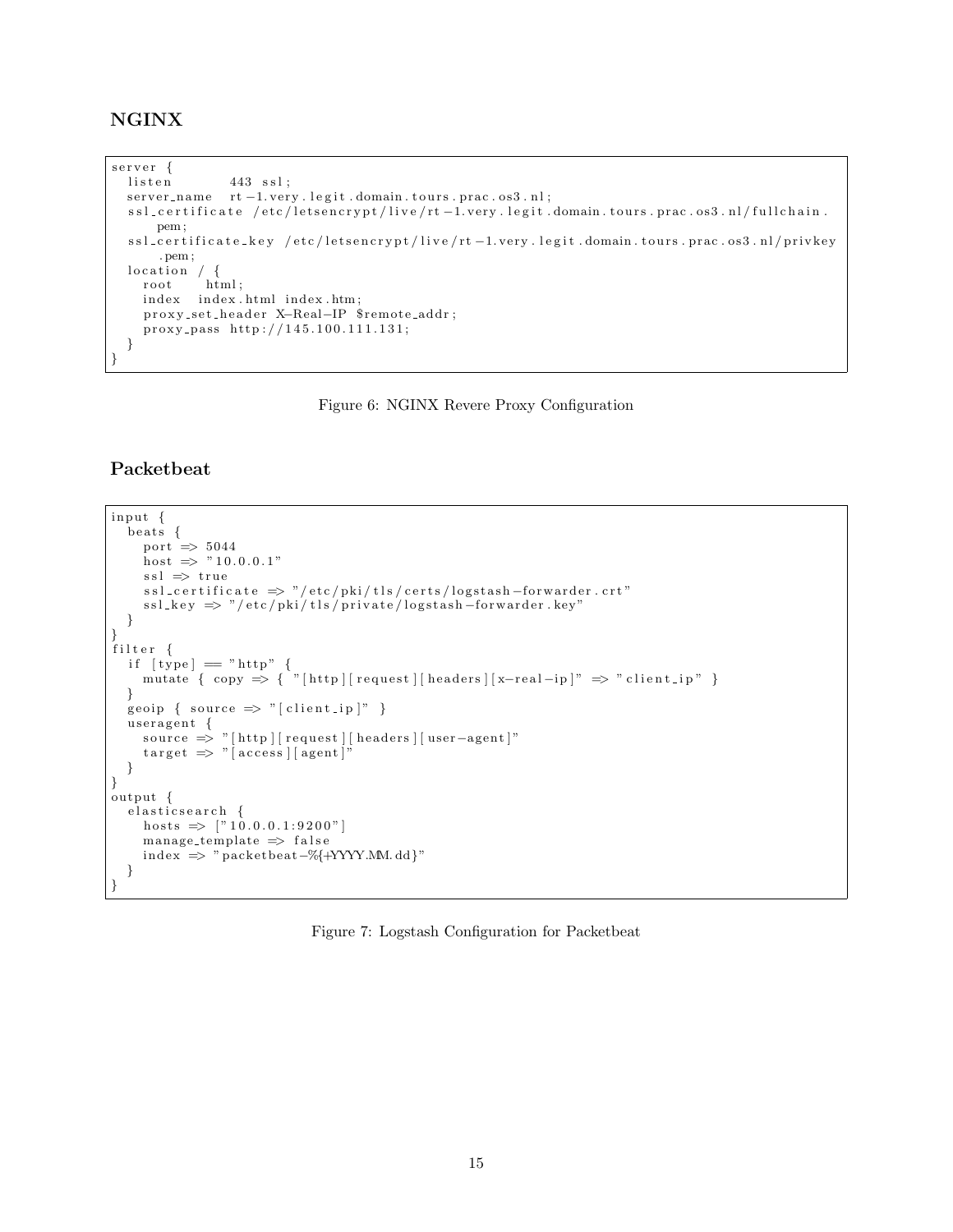## NGINX

```
server {<br>listen
               443 ssl;
  server_name rt -1. very. legit.domain.tours.prac.os3.nl;
  ssl_certificate /etc/letsencrypt/live/rt-1.very.legit.domain.tours.prac.os3.nl/fullchain.
     pem ;
  ssl_certificate_key /etc/letsencrypt/live/rt-1.very.legit.domain.tours.prac.os3.nl/privkey
      . pem ;
  location / \{root html;
   index index.html index.htm;
    proxy_set_header X-Real-IP $remote_addr;
    proxy_pass http://145.100.111.131;
 }
}
```
<span id="page-14-0"></span>Figure 6: NGINX Revere Proxy Configuration

## Packetbeat

```
input {
  beats {
     port \Rightarrow 5044
     host \Rightarrow "10.0.0.1"
     \text{ss1} \Rightarrow \text{true}ss1_cc ertificate \Rightarrow "/etc/pki/tls/certs/logstash-forwarder.crt"
     ssl\_key \implies "/etc/pki/tls/private/logstash-forwarder.key"
  }
}
filter {
   if [\text{type}] = "http"mutate { copy \Rightarrow { "[http][request][headers][x-real-ip]" \Rightarrow "client_ip" }
  }
  geoip { source \Rightarrow " [client_ip]" }
  useragent {
     \text{source} \Rightarrow " [http | [ request ] [ headers | [ user-agent ]"
     target \implies " [access ] [agent]"
  }
}
output {
  elasticsearch {
     hosts \Rightarrow ["10.0.0.1:9200"]
     mange_ttemplate \Rightarrow false
     index => "packetbeat−%{+YYYY.MM.dd}"
  }
}
```
<span id="page-14-1"></span>Figure 7: Logstash Configuration for Packetbeat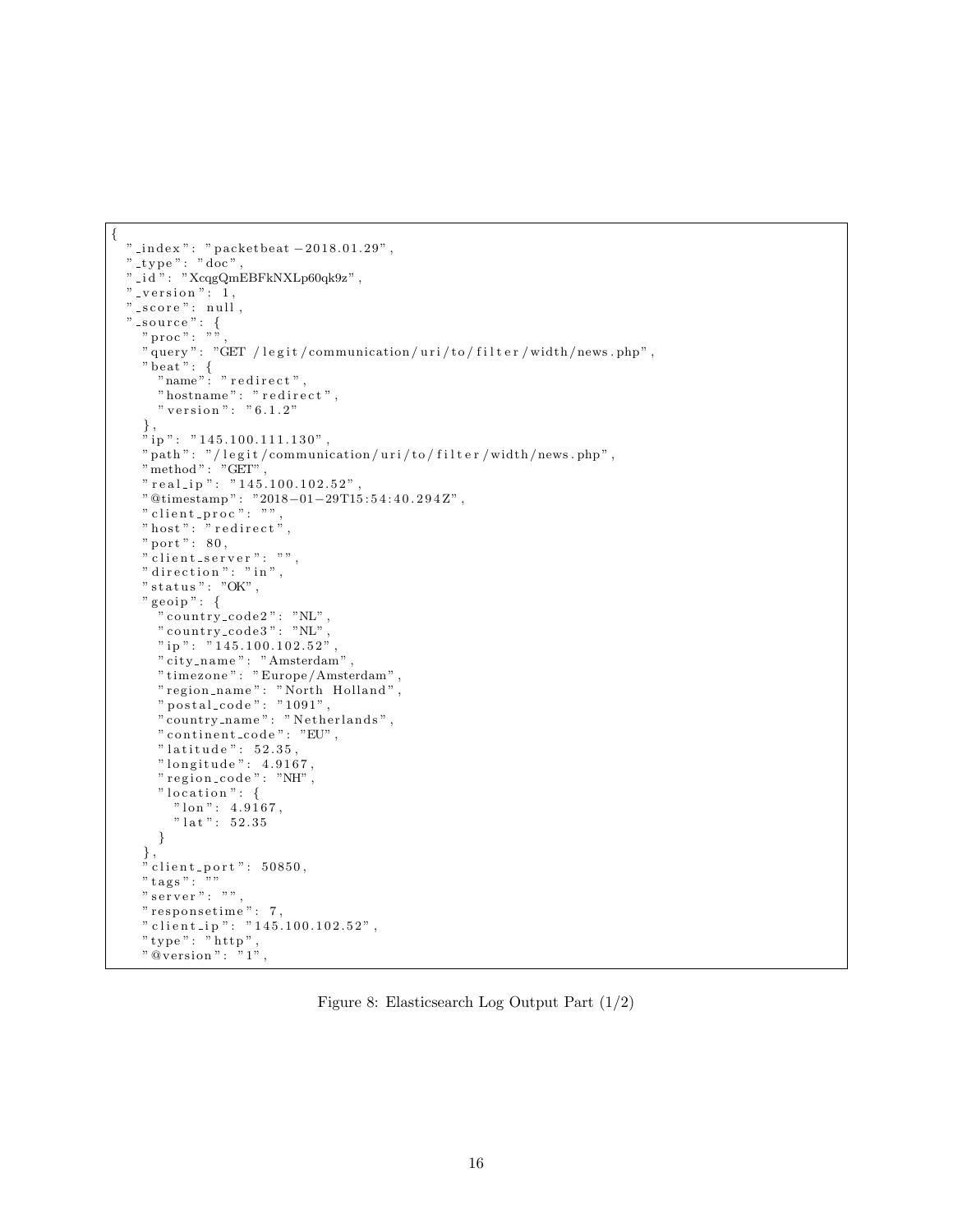```
{
  " _index ": " packetbeat -2018.01.29" ,
  " _t y p e " : " doc" ,
  "-id ": "XcqgQmEBFkNXLp60qk9z",
  " -version " : 1,
 " _score ": null,
  " _source ": {
     " proc " : " "" query": "GET / legit/communication/uri/to/filter/width/news.php",
     " beat " : \"name": "redirect",
       " hostname": " redirect",
       " version ": "6.1.2"
     } ,
     "ip": "145.100.111.130",
    " \verb"path" : \text{\texttt"}/ \texttt{legit}/ \texttt{communication}/ \texttt{uri}/ \texttt{to}/ \texttt{filter}/ \texttt{width}/ \texttt{news}. \texttt{php"} \, ," method " : "GET" ,
     " real_ip ": "145.100.102.52" ,
    "@timestamp": "2018-01-29T15:54:40.294Z",
    " client_proc" : "" host": "reflect"," port": 80," client_server": "",
    " direction": "in",
    " status": "OK",
    " geoip" : \{" country_code2": "NL",
       " counting\_code3" : "NL"" \text{ ip} " : "145.100.102.52"" city_name": "Amsterdam",
       " timezone " : " Europe / Amsterdam " ,
       " region_name": "North Holland",
       " postal_code": "1091",
       " country_name" : " Netherlands" ,
      " continent_code": "EU",
       " latitude ": 52.35,
       " longitude ": 4.9167,
       " region_code": "NH",
       "location": {
         " \text{lon} " : 4.9167," lat ": 52.35}
    } ,
    \frac{1}{n} client_port": 50850,
    " tags ": ""
    " server": ""
    " responsetime": 7,
    " client_ip": "145.100.102.52",
     " type " : " h t tp " ,
     "\otimes \text{version}" : "1",
```
<span id="page-15-0"></span>Figure 8: Elasticsearch Log Output Part (1/2)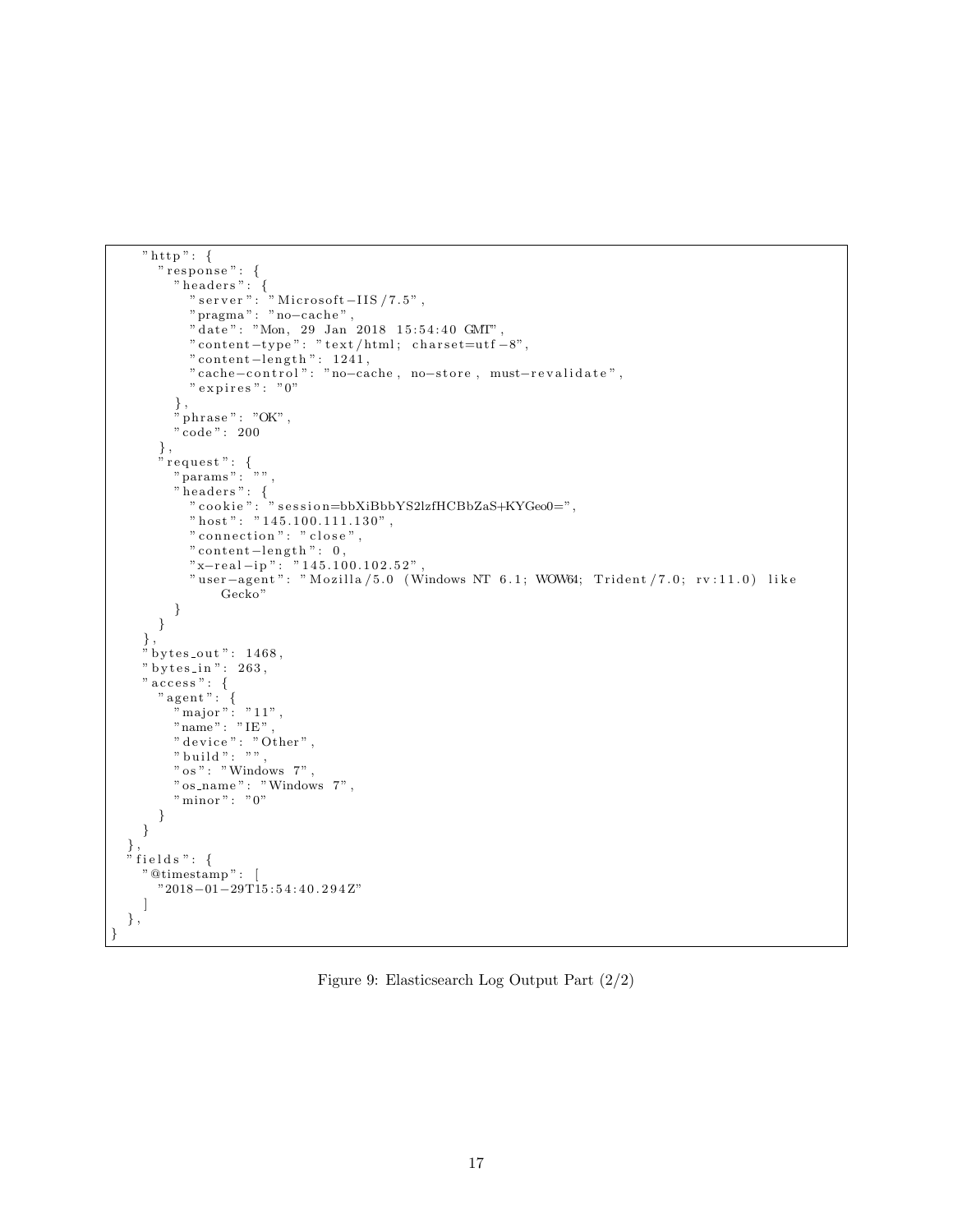```
" http": {
      " response": {
         " headers": {
            " server ": " Microsoft –IIS /7.5" ,
            "pragma " : "no−c ache " ,
            " date": "Mon, 29 Jan 2018 15:54:40 GMT",
            " content-type": "text/html; charset=utf-8",
            " content−length": 1241,
            " cache-control ": "no-cache, no-store, must-revalidate",
           " expires ": "0"} ,
         " phrase ": "OK",
         " code " : 200
       } ,
       " request " : {
         " params": "",
         " headers": {
            " cookie ": " session=bbXiBbbYS2lzfHCBbZaS+KYGeo0=" ,
           " host" : "145.100.111.130"," connection": " close",
           " content-length": 0,
            "x−real-ip": "145.100.102.52",
            "user−agent": "Mozilla/5.0 (Windows NT 6.1; WOW64; Trident/7.0; rv:11.0) like
                Gecko"
        }
      }
     } ,
     " bytes_out ": 1468,
    " bytes_in": 263,
     " \mathsf{access}\ " : \ \{" agent": {
         " major": "11",
        "name" : "IE" ," device " : " Other " ,
         " build ": "",
         " os" : "Windows 7"," os_name": "Windows 7",
         " minor ": "0"}
    }
  } ,
  " fields": {
    "@timestamp " : [
      "2018−01−29T15 : 5 4 : 4 0 . 2 9 4 Z"
    ]
  } ,
}
```
<span id="page-16-0"></span>Figure 9: Elasticsearch Log Output Part (2/2)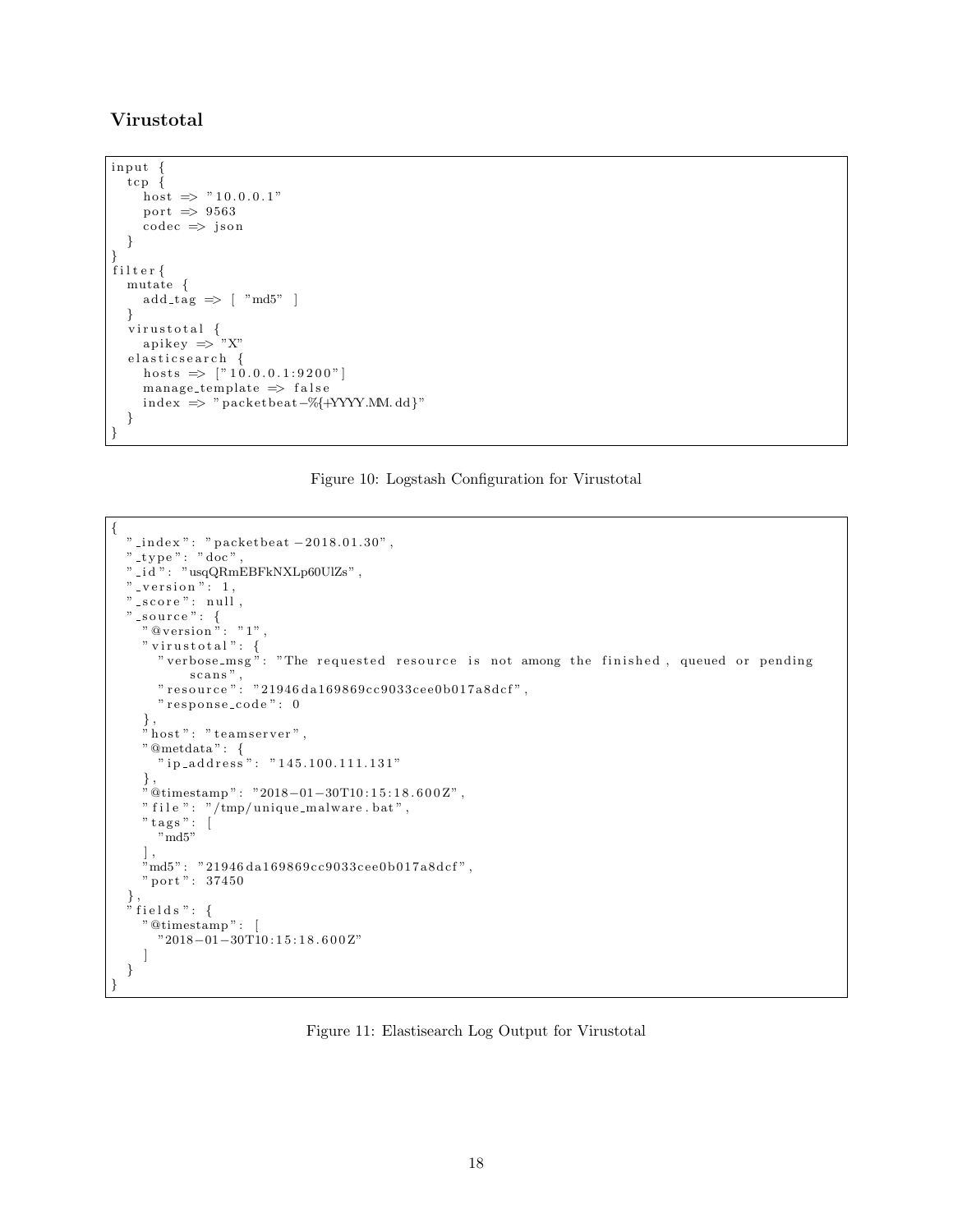## Virustotal

```
input {
  tcp {
     host \Rightarrow "10.0.0.1"
     port \Rightarrow 9563
     code c = > is on}
}
filter {
  mutate {
     add\_tag \implies \lceil "md5" \rceil}
   virustotal {
      apikey \Rightarrow "X"
  elasticsearch {
     hosts \Rightarrow ["10.0.0.1:9200"]
     manage_template \Rightarrow false
     index \Rightarrow " packetbeat –%{+YYYY.MM.dd}"
  }
}
```
## <span id="page-17-0"></span>Figure 10: Logstash Configuration for Virustotal

```
{
  " _index ": " packetbeat −2018.01.30" ,
  " _t y p e " : " doc" ,
  " i d " : "usqQRmEBFkNXLp60UlZs" ,
  " -version": 1,
  " _score ": null
  " _source ": {
     "\otimes \text{version}\," : "1"," virustotal" : \{" verbose_msg": "The requested resource is not among the finished, queued or pending
           scans",
      " resource" : "21946 da169869cc9033cee0b017a8dcf",
      " response_code": 0
    } ,
    "host": "teamserver","@metdata " : {
      \sum_{i=1}^{\infty} ip_address": "145.100.111.131"
     } ,
     "@timestamp " : "2018−01−30T10 : 1 5 : 1 8 . 6 0 0 Z" ,
    " file ": \sqrt{tmp/unique\_malloware . bat}",
     " tags": [
       "md5"
     ] ,
     \text{"md5"}: \ \text{"21946 da169869cc9033cee0b017a8dcf"}\,," port ": 37450
  } ,
  " fields": {
    "@timestamp " : [
      "2018−01−30T10 : 1 5 : 1 8 . 6 0 0 Z"
    ]
  }
}
```
<span id="page-17-1"></span>Figure 11: Elastisearch Log Output for Virustotal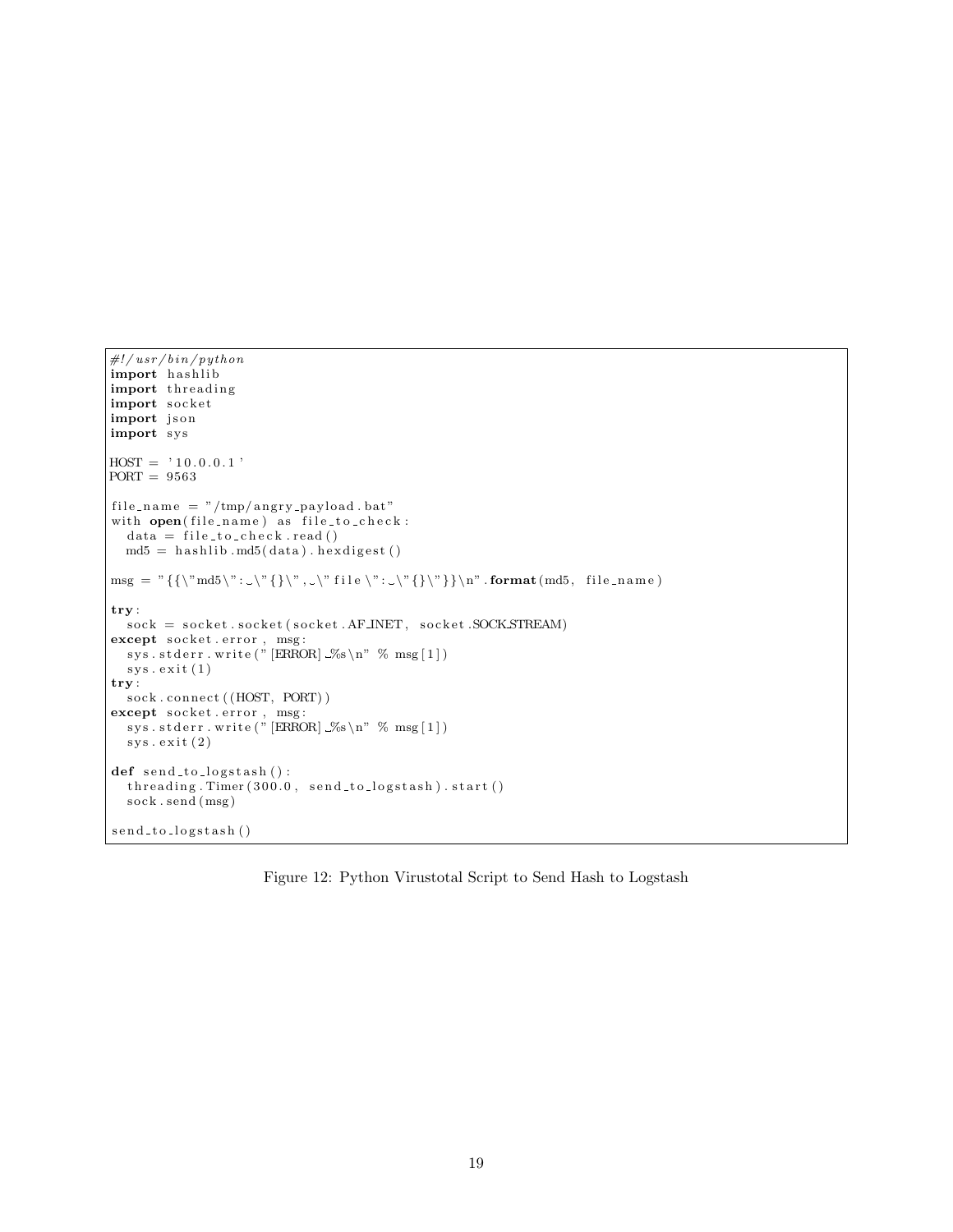```
\#!/usr/bin/pythonimport hashlib
import threading
import socket
import json
import sys
HOST = '10.0.0.1'PORT = 9563
file_name = "/tmp/angry-payload.bat"with open(file_name) as file_to-check:
  data = file_to_check.read()md5 = hashlib.md5(data) . hexdigest ()\mathrm{msg} = "\{\backslash "md5 \backslash " : \backslash " \{\backslash " , \backsim " file \backslash " : \backslash " \{\backslash " \}\backslash " } \text{ format} (\mathrm{md5}, \ \text{file_name})try :
  sock = socket.socket(socket.AF\_INET, socket.SOKSTREAM)except socket.error, msg:
  sys.stderr.write ("[ERROR] \% \n" \ msg[1])
  sys. exist(1)try :
  sock.connect ((HOST, PORT))
except socket.error, msg:
  sys.stderr.write("[ERROR] \mathcal{S}_s \nightharpoonup " \% msg[1])
  sys \cdot exit (2)def \; send\_to\_logstash():
  {\rm threading. \, Timer\,} (300.0, \; {\rm send\_to\_logstash\,}). start ()
  sock.send (msg)
send_to_logstash()
```
<span id="page-18-0"></span>Figure 12: Python Virustotal Script to Send Hash to Logstash